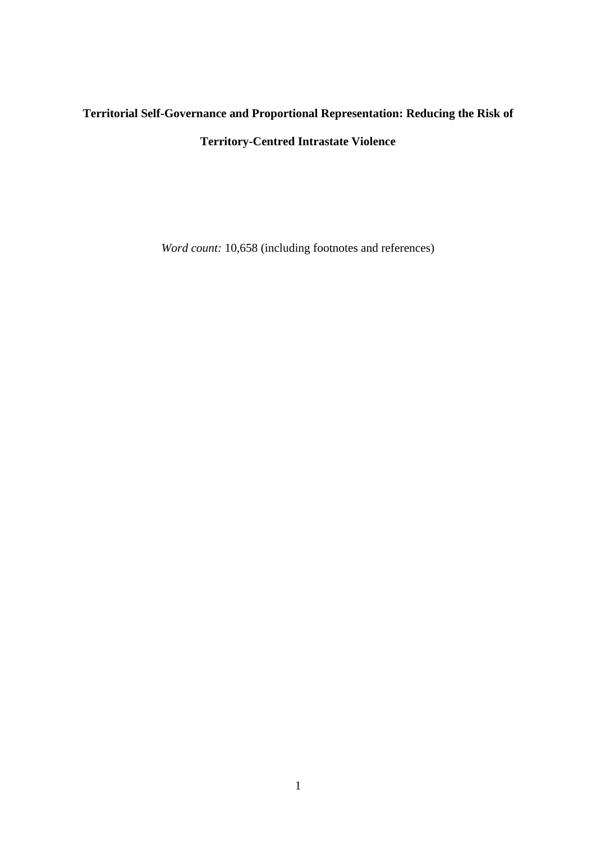# **Territorial Self-Governance and Proportional Representation: Reducing the Risk of Territory-Centred Intrastate Violence**

*Word count:* 10,658 (including footnotes and references)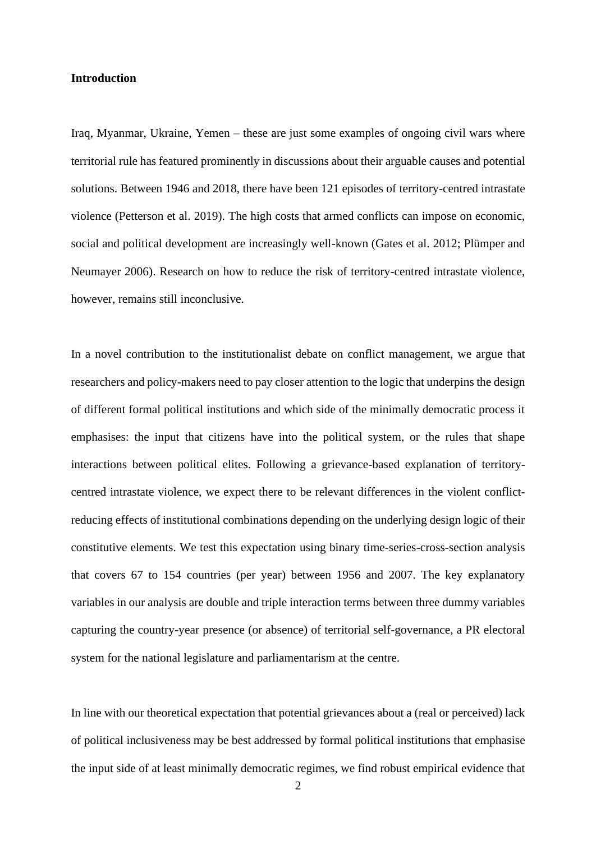# **Introduction**

Iraq, Myanmar, Ukraine, Yemen – these are just some examples of ongoing civil wars where territorial rule has featured prominently in discussions about their arguable causes and potential solutions. Between 1946 and 2018, there have been 121 episodes of territory-centred intrastate violence (Petterson et al. 2019). The high costs that armed conflicts can impose on economic, social and political development are increasingly well-known (Gates et al. 2012; Plümper and Neumayer 2006). Research on how to reduce the risk of territory-centred intrastate violence, however, remains still inconclusive.

In a novel contribution to the institutionalist debate on conflict management, we argue that researchers and policy-makers need to pay closer attention to the logic that underpins the design of different formal political institutions and which side of the minimally democratic process it emphasises: the input that citizens have into the political system, or the rules that shape interactions between political elites. Following a grievance-based explanation of territorycentred intrastate violence, we expect there to be relevant differences in the violent conflictreducing effects of institutional combinations depending on the underlying design logic of their constitutive elements. We test this expectation using binary time-series-cross-section analysis that covers 67 to 154 countries (per year) between 1956 and 2007. The key explanatory variables in our analysis are double and triple interaction terms between three dummy variables capturing the country-year presence (or absence) of territorial self-governance, a PR electoral system for the national legislature and parliamentarism at the centre.

In line with our theoretical expectation that potential grievances about a (real or perceived) lack of political inclusiveness may be best addressed by formal political institutions that emphasise the input side of at least minimally democratic regimes, we find robust empirical evidence that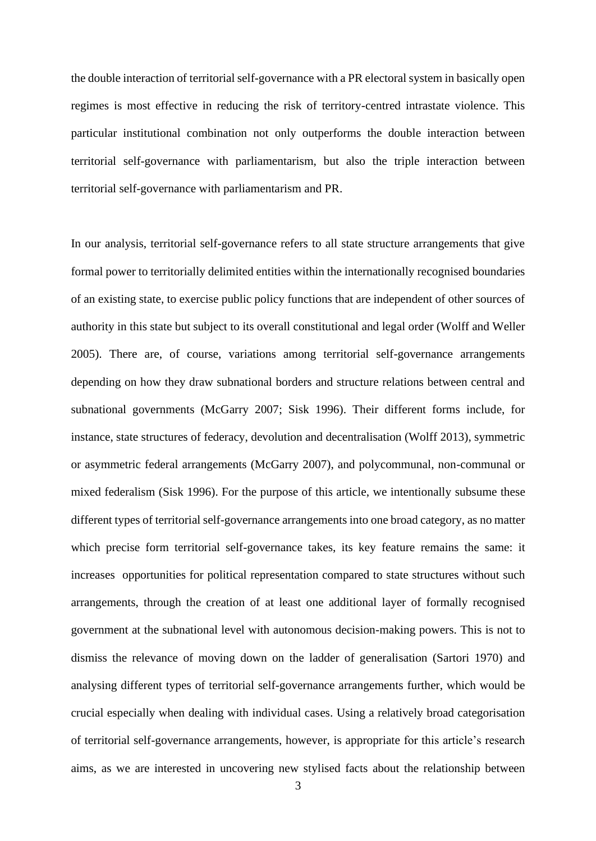the double interaction of territorial self-governance with a PR electoral system in basically open regimes is most effective in reducing the risk of territory-centred intrastate violence. This particular institutional combination not only outperforms the double interaction between territorial self-governance with parliamentarism, but also the triple interaction between territorial self-governance with parliamentarism and PR.

In our analysis, territorial self-governance refers to all state structure arrangements that give formal power to territorially delimited entities within the internationally recognised boundaries of an existing state, to exercise public policy functions that are independent of other sources of authority in this state but subject to its overall constitutional and legal order (Wolff and Weller 2005). There are, of course, variations among territorial self-governance arrangements depending on how they draw subnational borders and structure relations between central and subnational governments (McGarry 2007; Sisk 1996). Their different forms include, for instance, state structures of federacy, devolution and decentralisation (Wolff 2013), symmetric or asymmetric federal arrangements (McGarry 2007), and polycommunal, non-communal or mixed federalism (Sisk 1996). For the purpose of this article, we intentionally subsume these different types of territorial self-governance arrangements into one broad category, as no matter which precise form territorial self-governance takes, its key feature remains the same: it increases opportunities for political representation compared to state structures without such arrangements, through the creation of at least one additional layer of formally recognised government at the subnational level with autonomous decision-making powers. This is not to dismiss the relevance of moving down on the ladder of generalisation (Sartori 1970) and analysing different types of territorial self-governance arrangements further, which would be crucial especially when dealing with individual cases. Using a relatively broad categorisation of territorial self-governance arrangements, however, is appropriate for this article's research aims, as we are interested in uncovering new stylised facts about the relationship between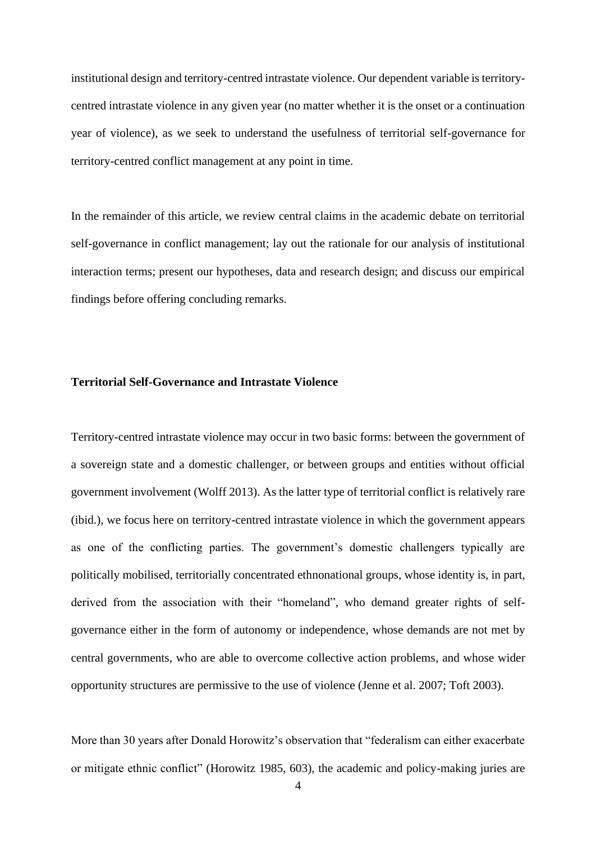institutional design and territory-centred intrastate violence. Our dependent variable is territorycentred intrastate violence in any given year (no matter whether it is the onset or a continuation year of violence), as we seek to understand the usefulness of territorial self-governance for territory-centred conflict management at any point in time.

In the remainder of this article, we review central claims in the academic debate on territorial self-governance in conflict management; lay out the rationale for our analysis of institutional interaction terms; present our hypotheses, data and research design; and discuss our empirical findings before offering concluding remarks.

# **Territorial Self-Governance and Intrastate Violence**

Territory-centred intrastate violence may occur in two basic forms: between the government of a sovereign state and a domestic challenger, or between groups and entities without official government involvement (Wolff 2013). As the latter type of territorial conflict is relatively rare (ibid.), we focus here on territory-centred intrastate violence in which the government appears as one of the conflicting parties. The government's domestic challengers typically are politically mobilised, territorially concentrated ethnonational groups, whose identity is, in part, derived from the association with their "homeland", who demand greater rights of selfgovernance either in the form of autonomy or independence, whose demands are not met by central governments, who are able to overcome collective action problems, and whose wider opportunity structures are permissive to the use of violence (Jenne et al. 2007; Toft 2003).

More than 30 years after Donald Horowitz's observation that "federalism can either exacerbate or mitigate ethnic conflict" (Horowitz 1985, 603), the academic and policy-making juries are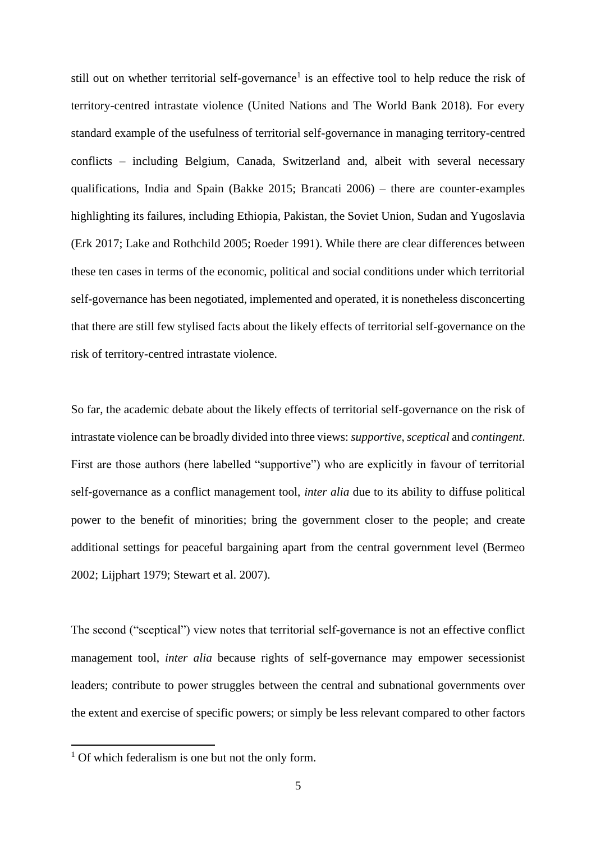still out on whether territorial self-governance<sup>1</sup> is an effective tool to help reduce the risk of territory-centred intrastate violence (United Nations and The World Bank 2018). For every standard example of the usefulness of territorial self-governance in managing territory-centred conflicts – including Belgium, Canada, Switzerland and, albeit with several necessary qualifications, India and Spain (Bakke 2015; Brancati 2006) – there are counter-examples highlighting its failures, including Ethiopia, Pakistan, the Soviet Union, Sudan and Yugoslavia (Erk 2017; Lake and Rothchild 2005; Roeder 1991). While there are clear differences between these ten cases in terms of the economic, political and social conditions under which territorial self-governance has been negotiated, implemented and operated, it is nonetheless disconcerting that there are still few stylised facts about the likely effects of territorial self-governance on the risk of territory-centred intrastate violence.

So far, the academic debate about the likely effects of territorial self-governance on the risk of intrastate violence can be broadly divided into three views: *supportive*, *sceptical* and *contingent*. First are those authors (here labelled "supportive") who are explicitly in favour of territorial self-governance as a conflict management tool, *inter alia* due to its ability to diffuse political power to the benefit of minorities; bring the government closer to the people; and create additional settings for peaceful bargaining apart from the central government level (Bermeo 2002; Lijphart 1979; Stewart et al. 2007).

The second ("sceptical") view notes that territorial self-governance is not an effective conflict management tool, *inter alia* because rights of self-governance may empower secessionist leaders; contribute to power struggles between the central and subnational governments over the extent and exercise of specific powers; or simply be less relevant compared to other factors

<sup>&</sup>lt;sup>1</sup> Of which federalism is one but not the only form.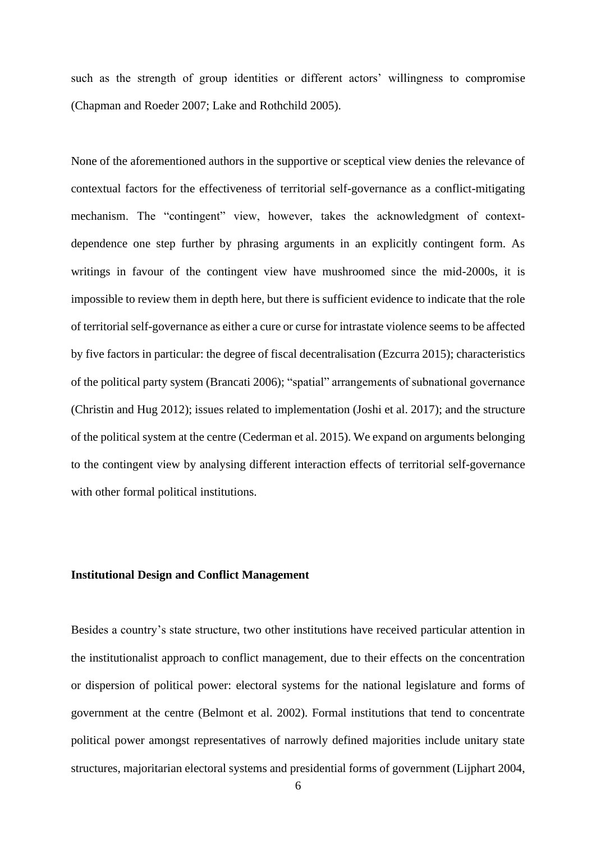such as the strength of group identities or different actors' willingness to compromise (Chapman and Roeder 2007; Lake and Rothchild 2005).

None of the aforementioned authors in the supportive or sceptical view denies the relevance of contextual factors for the effectiveness of territorial self-governance as a conflict-mitigating mechanism. The "contingent" view, however, takes the acknowledgment of contextdependence one step further by phrasing arguments in an explicitly contingent form. As writings in favour of the contingent view have mushroomed since the mid-2000s, it is impossible to review them in depth here, but there is sufficient evidence to indicate that the role of territorial self-governance as either a cure or curse for intrastate violence seems to be affected by five factors in particular: the degree of fiscal decentralisation (Ezcurra 2015); characteristics of the political party system (Brancati 2006); "spatial" arrangements of subnational governance (Christin and Hug 2012); issues related to implementation (Joshi et al. 2017); and the structure of the political system at the centre (Cederman et al. 2015). We expand on arguments belonging to the contingent view by analysing different interaction effects of territorial self-governance with other formal political institutions.

# **Institutional Design and Conflict Management**

Besides a country's state structure, two other institutions have received particular attention in the institutionalist approach to conflict management, due to their effects on the concentration or dispersion of political power: electoral systems for the national legislature and forms of government at the centre (Belmont et al. 2002). Formal institutions that tend to concentrate political power amongst representatives of narrowly defined majorities include unitary state structures, majoritarian electoral systems and presidential forms of government (Lijphart 2004,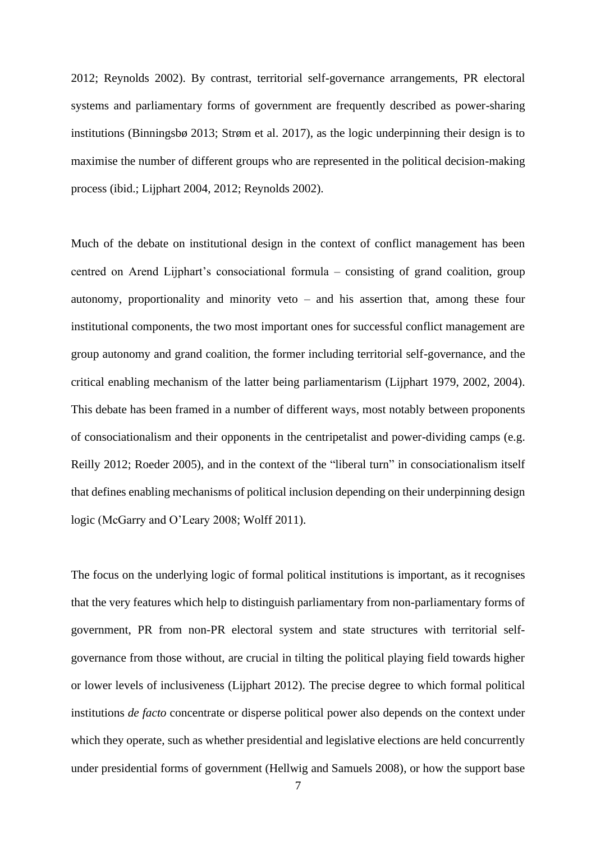2012; Reynolds 2002). By contrast, territorial self-governance arrangements, PR electoral systems and parliamentary forms of government are frequently described as power-sharing institutions (Binningsbø 2013; Strøm et al. 2017), as the logic underpinning their design is to maximise the number of different groups who are represented in the political decision-making process (ibid.; Lijphart 2004, 2012; Reynolds 2002).

Much of the debate on institutional design in the context of conflict management has been centred on Arend Lijphart's consociational formula – consisting of grand coalition, group autonomy, proportionality and minority veto – and his assertion that, among these four institutional components, the two most important ones for successful conflict management are group autonomy and grand coalition, the former including territorial self-governance, and the critical enabling mechanism of the latter being parliamentarism (Lijphart 1979, 2002, 2004). This debate has been framed in a number of different ways, most notably between proponents of consociationalism and their opponents in the centripetalist and power-dividing camps (e.g. Reilly 2012; Roeder 2005), and in the context of the "liberal turn" in consociationalism itself that defines enabling mechanisms of political inclusion depending on their underpinning design logic (McGarry and O'Leary 2008; Wolff 2011).

The focus on the underlying logic of formal political institutions is important, as it recognises that the very features which help to distinguish parliamentary from non-parliamentary forms of government, PR from non-PR electoral system and state structures with territorial selfgovernance from those without, are crucial in tilting the political playing field towards higher or lower levels of inclusiveness (Lijphart 2012). The precise degree to which formal political institutions *de facto* concentrate or disperse political power also depends on the context under which they operate, such as whether presidential and legislative elections are held concurrently under presidential forms of government (Hellwig and Samuels 2008), or how the support base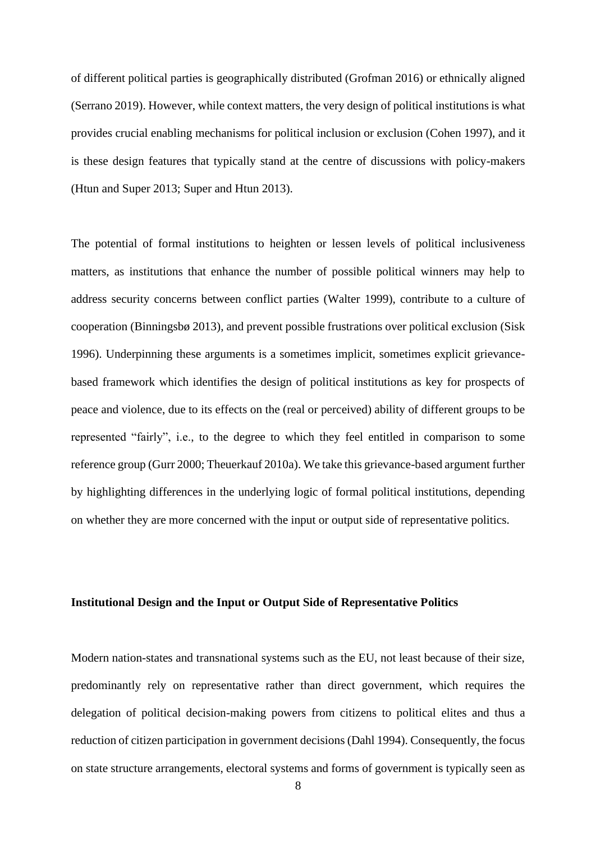of different political parties is geographically distributed (Grofman 2016) or ethnically aligned (Serrano 2019). However, while context matters, the very design of political institutions is what provides crucial enabling mechanisms for political inclusion or exclusion (Cohen 1997), and it is these design features that typically stand at the centre of discussions with policy-makers (Htun and Super 2013; Super and Htun 2013).

The potential of formal institutions to heighten or lessen levels of political inclusiveness matters, as institutions that enhance the number of possible political winners may help to address security concerns between conflict parties (Walter 1999), contribute to a culture of cooperation (Binningsbø 2013), and prevent possible frustrations over political exclusion (Sisk 1996). Underpinning these arguments is a sometimes implicit, sometimes explicit grievancebased framework which identifies the design of political institutions as key for prospects of peace and violence, due to its effects on the (real or perceived) ability of different groups to be represented "fairly", i.e., to the degree to which they feel entitled in comparison to some reference group (Gurr 2000; Theuerkauf 2010a). We take this grievance-based argument further by highlighting differences in the underlying logic of formal political institutions, depending on whether they are more concerned with the input or output side of representative politics.

# **Institutional Design and the Input or Output Side of Representative Politics**

Modern nation-states and transnational systems such as the EU, not least because of their size, predominantly rely on representative rather than direct government, which requires the delegation of political decision-making powers from citizens to political elites and thus a reduction of citizen participation in government decisions (Dahl 1994). Consequently, the focus on state structure arrangements, electoral systems and forms of government is typically seen as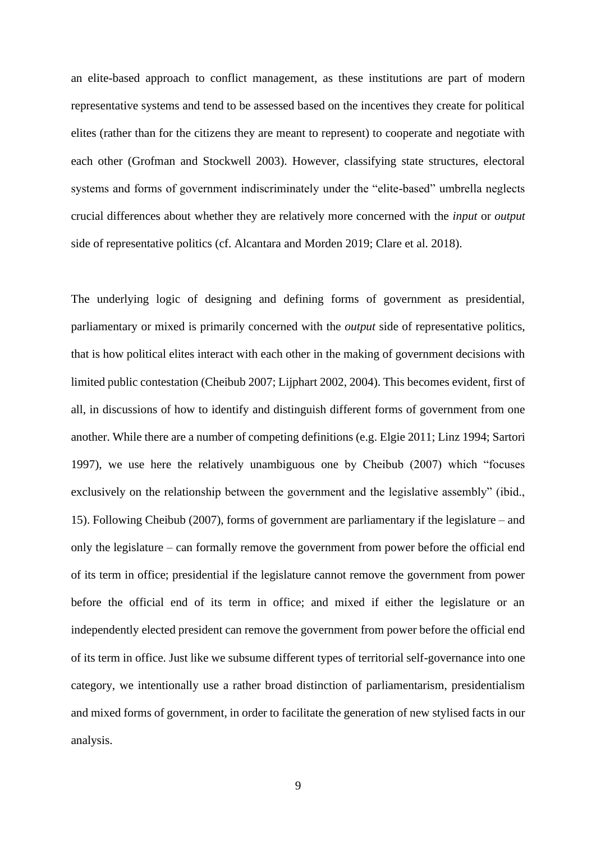an elite-based approach to conflict management, as these institutions are part of modern representative systems and tend to be assessed based on the incentives they create for political elites (rather than for the citizens they are meant to represent) to cooperate and negotiate with each other (Grofman and Stockwell 2003). However, classifying state structures, electoral systems and forms of government indiscriminately under the "elite-based" umbrella neglects crucial differences about whether they are relatively more concerned with the *input* or *output* side of representative politics (cf. Alcantara and Morden 2019; Clare et al. 2018).

The underlying logic of designing and defining forms of government as presidential, parliamentary or mixed is primarily concerned with the *output* side of representative politics, that is how political elites interact with each other in the making of government decisions with limited public contestation (Cheibub 2007; Lijphart 2002, 2004). This becomes evident, first of all, in discussions of how to identify and distinguish different forms of government from one another. While there are a number of competing definitions (e.g. Elgie 2011; Linz 1994; Sartori 1997), we use here the relatively unambiguous one by Cheibub (2007) which "focuses exclusively on the relationship between the government and the legislative assembly" (ibid., 15). Following Cheibub (2007), forms of government are parliamentary if the legislature – and only the legislature – can formally remove the government from power before the official end of its term in office; presidential if the legislature cannot remove the government from power before the official end of its term in office; and mixed if either the legislature or an independently elected president can remove the government from power before the official end of its term in office. Just like we subsume different types of territorial self-governance into one category, we intentionally use a rather broad distinction of parliamentarism, presidentialism and mixed forms of government, in order to facilitate the generation of new stylised facts in our analysis.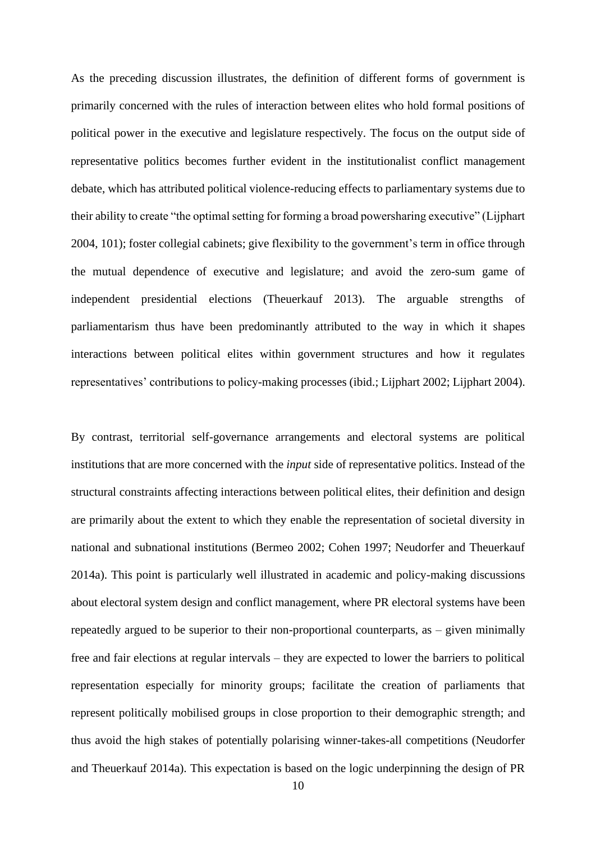As the preceding discussion illustrates, the definition of different forms of government is primarily concerned with the rules of interaction between elites who hold formal positions of political power in the executive and legislature respectively. The focus on the output side of representative politics becomes further evident in the institutionalist conflict management debate, which has attributed political violence-reducing effects to parliamentary systems due to their ability to create "the optimal setting for forming a broad powersharing executive" (Lijphart 2004, 101); foster collegial cabinets; give flexibility to the government's term in office through the mutual dependence of executive and legislature; and avoid the zero-sum game of independent presidential elections (Theuerkauf 2013). The arguable strengths of parliamentarism thus have been predominantly attributed to the way in which it shapes interactions between political elites within government structures and how it regulates representatives' contributions to policy-making processes (ibid.; Lijphart 2002; Lijphart 2004).

By contrast, territorial self-governance arrangements and electoral systems are political institutions that are more concerned with the *input* side of representative politics. Instead of the structural constraints affecting interactions between political elites, their definition and design are primarily about the extent to which they enable the representation of societal diversity in national and subnational institutions (Bermeo 2002; Cohen 1997; Neudorfer and Theuerkauf 2014a). This point is particularly well illustrated in academic and policy-making discussions about electoral system design and conflict management, where PR electoral systems have been repeatedly argued to be superior to their non-proportional counterparts, as – given minimally free and fair elections at regular intervals – they are expected to lower the barriers to political representation especially for minority groups; facilitate the creation of parliaments that represent politically mobilised groups in close proportion to their demographic strength; and thus avoid the high stakes of potentially polarising winner-takes-all competitions (Neudorfer and Theuerkauf 2014a). This expectation is based on the logic underpinning the design of PR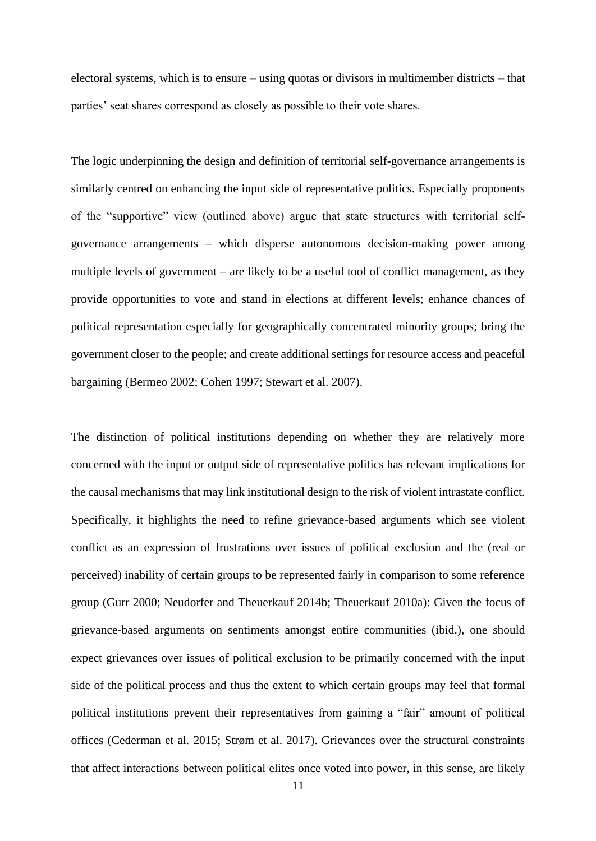electoral systems, which is to ensure – using quotas or divisors in multimember districts – that parties' seat shares correspond as closely as possible to their vote shares.

The logic underpinning the design and definition of territorial self-governance arrangements is similarly centred on enhancing the input side of representative politics. Especially proponents of the "supportive" view (outlined above) argue that state structures with territorial selfgovernance arrangements – which disperse autonomous decision-making power among multiple levels of government – are likely to be a useful tool of conflict management, as they provide opportunities to vote and stand in elections at different levels; enhance chances of political representation especially for geographically concentrated minority groups; bring the government closer to the people; and create additional settings for resource access and peaceful bargaining (Bermeo 2002; Cohen 1997; Stewart et al. 2007).

The distinction of political institutions depending on whether they are relatively more concerned with the input or output side of representative politics has relevant implications for the causal mechanisms that may link institutional design to the risk of violent intrastate conflict. Specifically, it highlights the need to refine grievance-based arguments which see violent conflict as an expression of frustrations over issues of political exclusion and the (real or perceived) inability of certain groups to be represented fairly in comparison to some reference group (Gurr 2000; Neudorfer and Theuerkauf 2014b; Theuerkauf 2010a): Given the focus of grievance-based arguments on sentiments amongst entire communities (ibid.), one should expect grievances over issues of political exclusion to be primarily concerned with the input side of the political process and thus the extent to which certain groups may feel that formal political institutions prevent their representatives from gaining a "fair" amount of political offices (Cederman et al. 2015; Strøm et al. 2017). Grievances over the structural constraints that affect interactions between political elites once voted into power, in this sense, are likely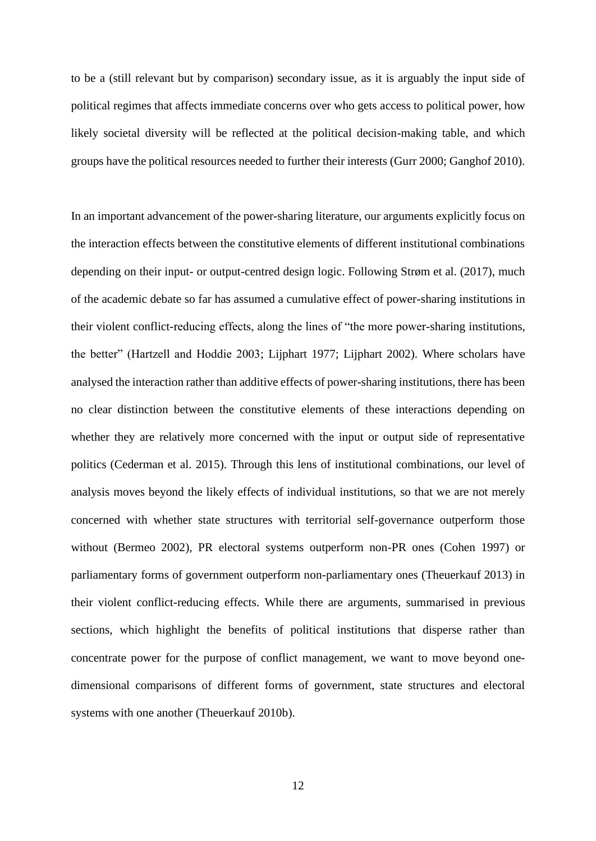to be a (still relevant but by comparison) secondary issue, as it is arguably the input side of political regimes that affects immediate concerns over who gets access to political power, how likely societal diversity will be reflected at the political decision-making table, and which groups have the political resources needed to further their interests (Gurr 2000; Ganghof 2010).

In an important advancement of the power-sharing literature, our arguments explicitly focus on the interaction effects between the constitutive elements of different institutional combinations depending on their input- or output-centred design logic. Following Strøm et al. (2017), much of the academic debate so far has assumed a cumulative effect of power-sharing institutions in their violent conflict-reducing effects, along the lines of "the more power-sharing institutions, the better" (Hartzell and Hoddie 2003; Lijphart 1977; Lijphart 2002). Where scholars have analysed the interaction rather than additive effects of power-sharing institutions, there has been no clear distinction between the constitutive elements of these interactions depending on whether they are relatively more concerned with the input or output side of representative politics (Cederman et al. 2015). Through this lens of institutional combinations, our level of analysis moves beyond the likely effects of individual institutions, so that we are not merely concerned with whether state structures with territorial self-governance outperform those without (Bermeo 2002), PR electoral systems outperform non-PR ones (Cohen 1997) or parliamentary forms of government outperform non-parliamentary ones (Theuerkauf 2013) in their violent conflict-reducing effects. While there are arguments, summarised in previous sections, which highlight the benefits of political institutions that disperse rather than concentrate power for the purpose of conflict management, we want to move beyond onedimensional comparisons of different forms of government, state structures and electoral systems with one another (Theuerkauf 2010b).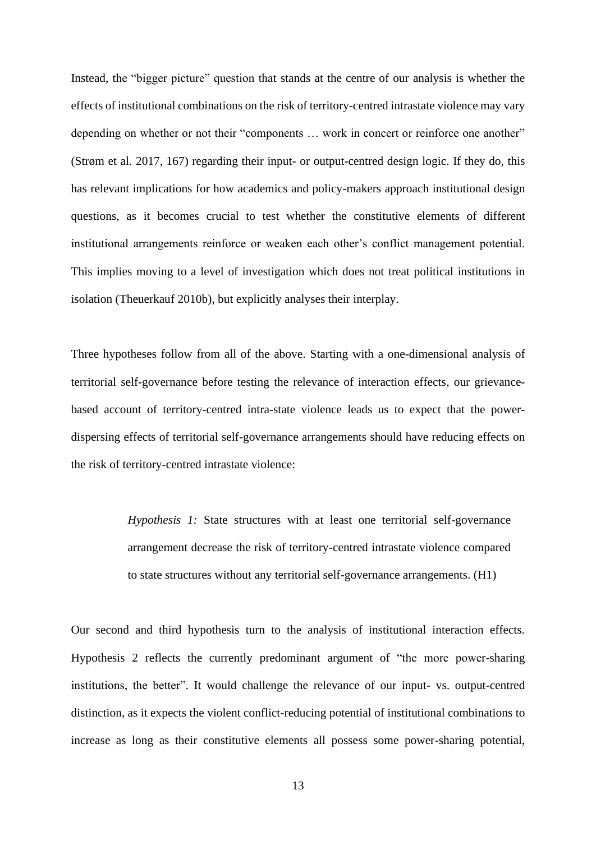Instead, the "bigger picture" question that stands at the centre of our analysis is whether the effects of institutional combinations on the risk of territory-centred intrastate violence may vary depending on whether or not their "components … work in concert or reinforce one another" (Strøm et al. 2017, 167) regarding their input- or output-centred design logic. If they do, this has relevant implications for how academics and policy-makers approach institutional design questions, as it becomes crucial to test whether the constitutive elements of different institutional arrangements reinforce or weaken each other's conflict management potential. This implies moving to a level of investigation which does not treat political institutions in isolation (Theuerkauf 2010b), but explicitly analyses their interplay.

Three hypotheses follow from all of the above. Starting with a one-dimensional analysis of territorial self-governance before testing the relevance of interaction effects, our grievancebased account of territory-centred intra-state violence leads us to expect that the powerdispersing effects of territorial self-governance arrangements should have reducing effects on the risk of territory-centred intrastate violence:

> *Hypothesis 1:* State structures with at least one territorial self-governance arrangement decrease the risk of territory-centred intrastate violence compared to state structures without any territorial self-governance arrangements. (H1)

Our second and third hypothesis turn to the analysis of institutional interaction effects. Hypothesis 2 reflects the currently predominant argument of "the more power-sharing institutions, the better". It would challenge the relevance of our input- vs. output-centred distinction, as it expects the violent conflict-reducing potential of institutional combinations to increase as long as their constitutive elements all possess some power-sharing potential,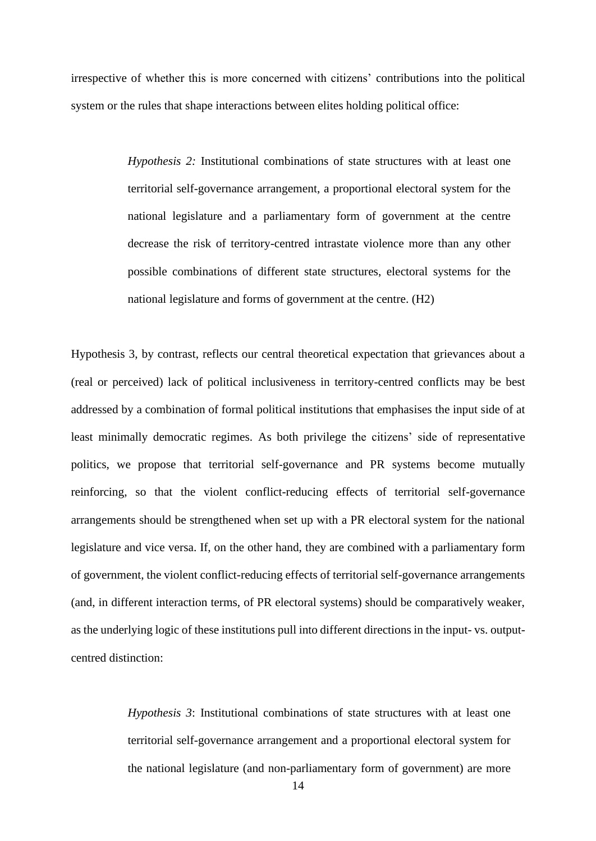irrespective of whether this is more concerned with citizens' contributions into the political system or the rules that shape interactions between elites holding political office:

> *Hypothesis 2:* Institutional combinations of state structures with at least one territorial self-governance arrangement, a proportional electoral system for the national legislature and a parliamentary form of government at the centre decrease the risk of territory-centred intrastate violence more than any other possible combinations of different state structures, electoral systems for the national legislature and forms of government at the centre. (H2)

Hypothesis 3, by contrast, reflects our central theoretical expectation that grievances about a (real or perceived) lack of political inclusiveness in territory-centred conflicts may be best addressed by a combination of formal political institutions that emphasises the input side of at least minimally democratic regimes. As both privilege the citizens' side of representative politics, we propose that territorial self-governance and PR systems become mutually reinforcing, so that the violent conflict-reducing effects of territorial self-governance arrangements should be strengthened when set up with a PR electoral system for the national legislature and vice versa. If, on the other hand, they are combined with a parliamentary form of government, the violent conflict-reducing effects of territorial self-governance arrangements (and, in different interaction terms, of PR electoral systems) should be comparatively weaker, as the underlying logic of these institutions pull into different directions in the input- vs. outputcentred distinction:

> *Hypothesis 3*: Institutional combinations of state structures with at least one territorial self-governance arrangement and a proportional electoral system for the national legislature (and non-parliamentary form of government) are more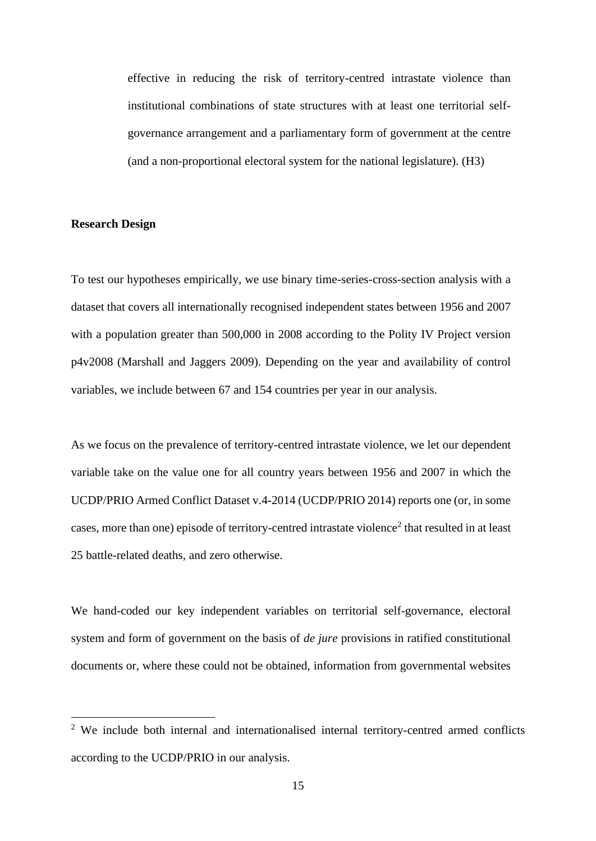effective in reducing the risk of territory-centred intrastate violence than institutional combinations of state structures with at least one territorial selfgovernance arrangement and a parliamentary form of government at the centre (and a non-proportional electoral system for the national legislature). (H3)

#### **Research Design**

To test our hypotheses empirically, we use binary time-series-cross-section analysis with a dataset that covers all internationally recognised independent states between 1956 and 2007 with a population greater than 500,000 in 2008 according to the Polity IV Project version p4v2008 (Marshall and Jaggers 2009). Depending on the year and availability of control variables, we include between 67 and 154 countries per year in our analysis.

As we focus on the prevalence of territory-centred intrastate violence, we let our dependent variable take on the value one for all country years between 1956 and 2007 in which the UCDP/PRIO Armed Conflict Dataset v.4-2014 (UCDP/PRIO 2014) reports one (or, in some cases, more than one) episode of territory-centred intrastate violence<sup>2</sup> that resulted in at least 25 battle-related deaths, and zero otherwise.

We hand-coded our key independent variables on territorial self-governance, electoral system and form of government on the basis of *de jure* provisions in ratified constitutional documents or, where these could not be obtained, information from governmental websites

<sup>&</sup>lt;sup>2</sup> We include both internal and internationalised internal territory-centred armed conflicts according to the UCDP/PRIO in our analysis.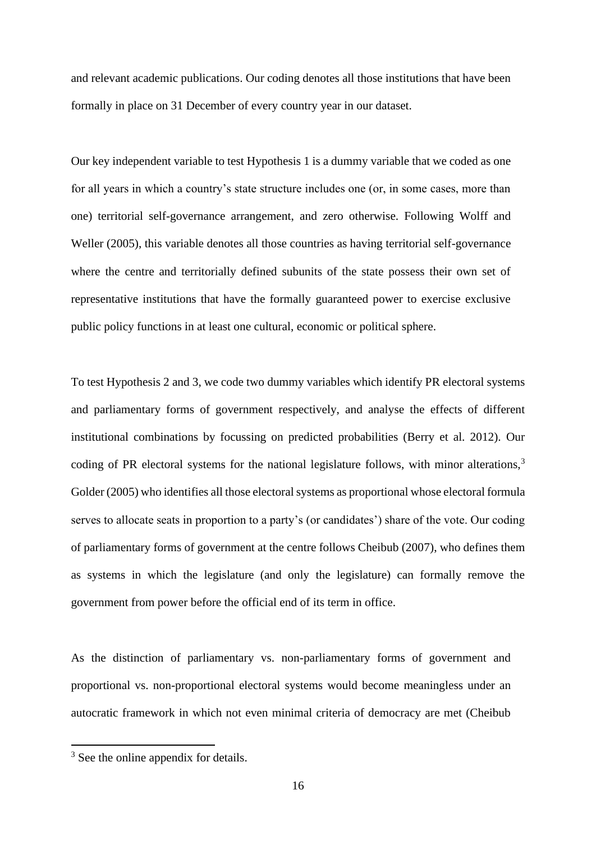and relevant academic publications. Our coding denotes all those institutions that have been formally in place on 31 December of every country year in our dataset.

Our key independent variable to test Hypothesis 1 is a dummy variable that we coded as one for all years in which a country's state structure includes one (or, in some cases, more than one) territorial self-governance arrangement, and zero otherwise. Following Wolff and Weller (2005), this variable denotes all those countries as having territorial self-governance where the centre and territorially defined subunits of the state possess their own set of representative institutions that have the formally guaranteed power to exercise exclusive public policy functions in at least one cultural, economic or political sphere.

To test Hypothesis 2 and 3, we code two dummy variables which identify PR electoral systems and parliamentary forms of government respectively, and analyse the effects of different institutional combinations by focussing on predicted probabilities (Berry et al. 2012). Our coding of PR electoral systems for the national legislature follows, with minor alterations,  $3\overline{3}$ Golder (2005) who identifies all those electoral systems as proportional whose electoral formula serves to allocate seats in proportion to a party's (or candidates') share of the vote. Our coding of parliamentary forms of government at the centre follows Cheibub (2007), who defines them as systems in which the legislature (and only the legislature) can formally remove the government from power before the official end of its term in office.

As the distinction of parliamentary vs. non-parliamentary forms of government and proportional vs. non-proportional electoral systems would become meaningless under an autocratic framework in which not even minimal criteria of democracy are met (Cheibub

<sup>&</sup>lt;sup>3</sup> See the online appendix for details.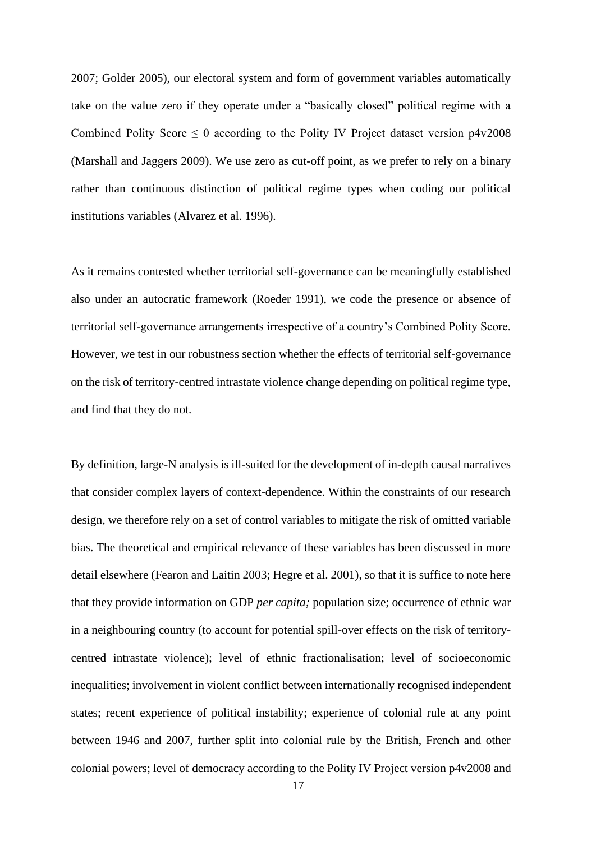2007; Golder 2005), our electoral system and form of government variables automatically take on the value zero if they operate under a "basically closed" political regime with a Combined Polity Score  $\leq 0$  according to the Polity IV Project dataset version p4v2008 (Marshall and Jaggers 2009). We use zero as cut-off point, as we prefer to rely on a binary rather than continuous distinction of political regime types when coding our political institutions variables (Alvarez et al. 1996).

As it remains contested whether territorial self-governance can be meaningfully established also under an autocratic framework (Roeder 1991), we code the presence or absence of territorial self-governance arrangements irrespective of a country's Combined Polity Score. However, we test in our robustness section whether the effects of territorial self-governance on the risk of territory-centred intrastate violence change depending on political regime type, and find that they do not.

By definition, large-N analysis is ill-suited for the development of in-depth causal narratives that consider complex layers of context-dependence. Within the constraints of our research design, we therefore rely on a set of control variables to mitigate the risk of omitted variable bias. The theoretical and empirical relevance of these variables has been discussed in more detail elsewhere (Fearon and Laitin 2003; Hegre et al. 2001), so that it is suffice to note here that they provide information on GDP *per capita;* population size; occurrence of ethnic war in a neighbouring country (to account for potential spill-over effects on the risk of territorycentred intrastate violence); level of ethnic fractionalisation; level of socioeconomic inequalities; involvement in violent conflict between internationally recognised independent states; recent experience of political instability; experience of colonial rule at any point between 1946 and 2007, further split into colonial rule by the British, French and other colonial powers; level of democracy according to the Polity IV Project version p4v2008 and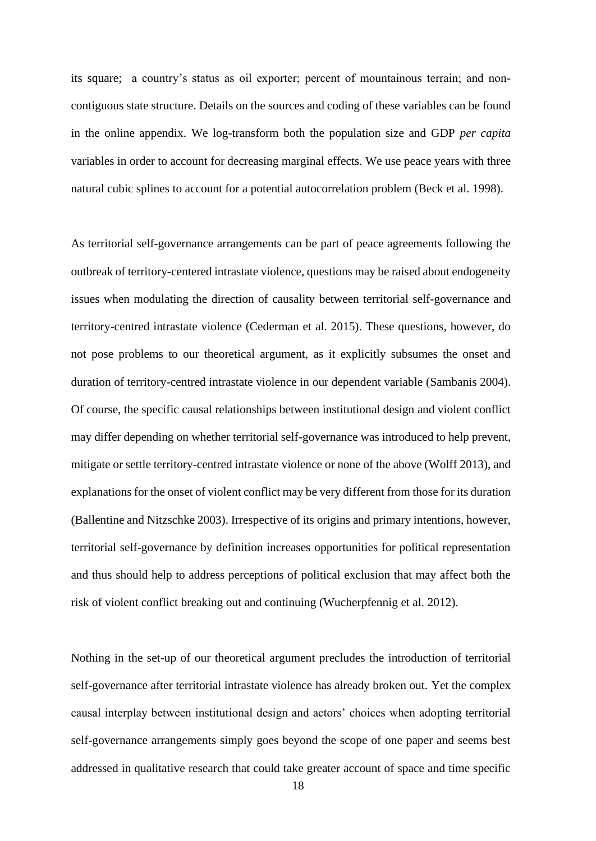its square; a country's status as oil exporter; percent of mountainous terrain; and noncontiguous state structure. Details on the sources and coding of these variables can be found in the online appendix. We log-transform both the population size and GDP *per capita* variables in order to account for decreasing marginal effects. We use peace years with three natural cubic splines to account for a potential autocorrelation problem (Beck et al. 1998).

As territorial self-governance arrangements can be part of peace agreements following the outbreak of territory-centered intrastate violence, questions may be raised about endogeneity issues when modulating the direction of causality between territorial self-governance and territory-centred intrastate violence (Cederman et al. 2015). These questions, however, do not pose problems to our theoretical argument, as it explicitly subsumes the onset and duration of territory-centred intrastate violence in our dependent variable (Sambanis 2004). Of course, the specific causal relationships between institutional design and violent conflict may differ depending on whether territorial self-governance was introduced to help prevent, mitigate or settle territory-centred intrastate violence or none of the above (Wolff 2013), and explanations for the onset of violent conflict may be very different from those for its duration (Ballentine and Nitzschke 2003). Irrespective of its origins and primary intentions, however, territorial self-governance by definition increases opportunities for political representation and thus should help to address perceptions of political exclusion that may affect both the risk of violent conflict breaking out and continuing (Wucherpfennig et al. 2012).

Nothing in the set-up of our theoretical argument precludes the introduction of territorial self-governance after territorial intrastate violence has already broken out. Yet the complex causal interplay between institutional design and actors' choices when adopting territorial self-governance arrangements simply goes beyond the scope of one paper and seems best addressed in qualitative research that could take greater account of space and time specific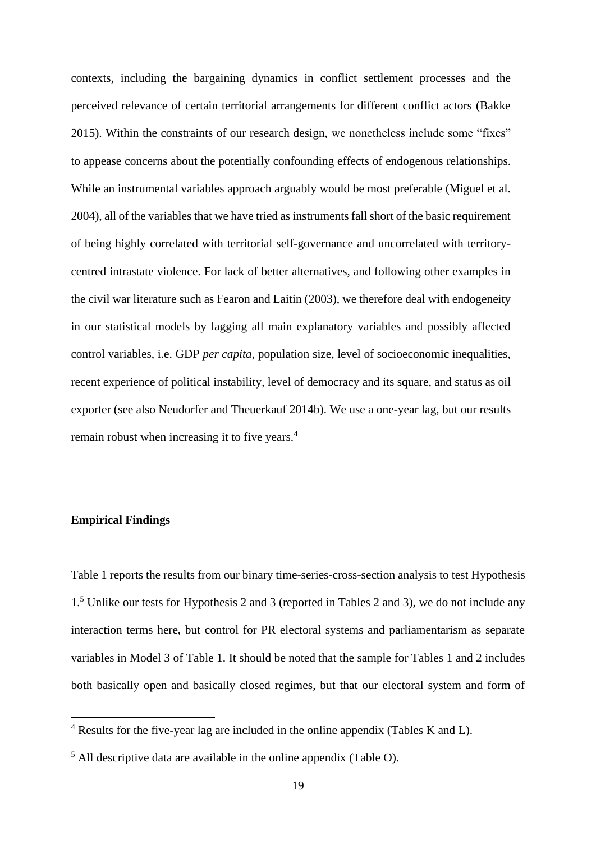contexts, including the bargaining dynamics in conflict settlement processes and the perceived relevance of certain territorial arrangements for different conflict actors (Bakke 2015). Within the constraints of our research design, we nonetheless include some "fixes" to appease concerns about the potentially confounding effects of endogenous relationships. While an instrumental variables approach arguably would be most preferable (Miguel et al. 2004), all of the variables that we have tried as instruments fall short of the basic requirement of being highly correlated with territorial self-governance and uncorrelated with territorycentred intrastate violence. For lack of better alternatives, and following other examples in the civil war literature such as Fearon and Laitin (2003), we therefore deal with endogeneity in our statistical models by lagging all main explanatory variables and possibly affected control variables, i.e. GDP *per capita*, population size, level of socioeconomic inequalities, recent experience of political instability, level of democracy and its square, and status as oil exporter (see also Neudorfer and Theuerkauf 2014b). We use a one-year lag, but our results remain robust when increasing it to five years.<sup>4</sup>

# **Empirical Findings**

Table 1 reports the results from our binary time-series-cross-section analysis to test Hypothesis 1. <sup>5</sup> Unlike our tests for Hypothesis 2 and 3 (reported in Tables 2 and 3), we do not include any interaction terms here, but control for PR electoral systems and parliamentarism as separate variables in Model 3 of Table 1. It should be noted that the sample for Tables 1 and 2 includes both basically open and basically closed regimes, but that our electoral system and form of

<sup>4</sup> Results for the five-year lag are included in the online appendix (Tables K and L).

<sup>5</sup> All descriptive data are available in the online appendix (Table O).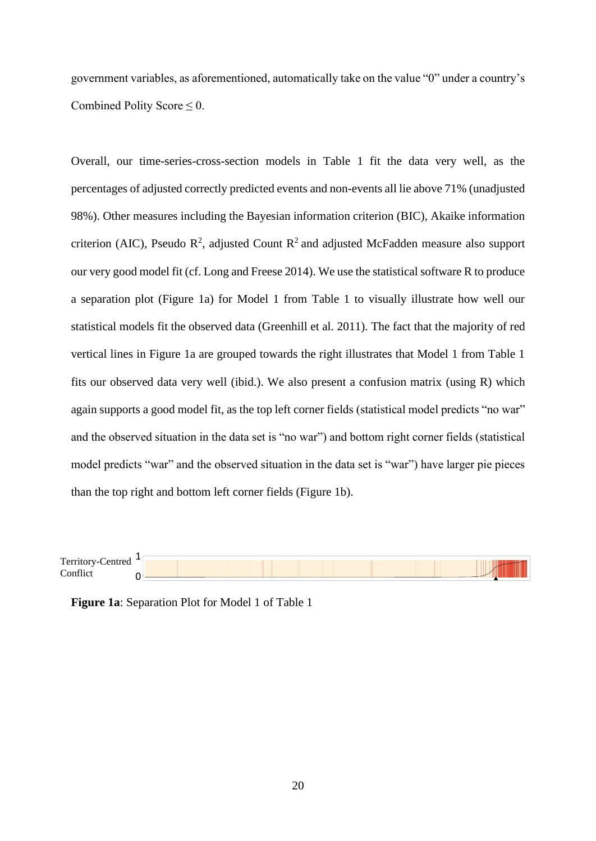government variables, as aforementioned, automatically take on the value "0" under a country's Combined Polity Score  $\leq 0$ .

Overall, our time-series-cross-section models in Table 1 fit the data very well, as the percentages of adjusted correctly predicted events and non-events all lie above 71% (unadjusted 98%). Other measures including the Bayesian information criterion (BIC), Akaike information criterion (AIC), Pseudo  $\mathbb{R}^2$ , adjusted Count  $\mathbb{R}^2$  and adjusted McFadden measure also support our very good model fit (cf. Long and Freese 2014). We use the statistical software R to produce a separation plot (Figure 1a) for Model 1 from Table 1 to visually illustrate how well our statistical models fit the observed data (Greenhill et al. 2011). The fact that the majority of red vertical lines in Figure 1a are grouped towards the right illustrates that Model 1 from Table 1 fits our observed data very well (ibid.). We also present a confusion matrix (using R) which again supports a good model fit, as the top left corner fields (statistical model predicts "no war" and the observed situation in the data set is "no war") and bottom right corner fields (statistical model predicts "war" and the observed situation in the data set is "war") have larger pie pieces than the top right and bottom left corner fields (Figure 1b).

Territory-Centred **Conflict** 1  $\Omega$ 

**Figure 1a**: Separation Plot for Model 1 of Table 1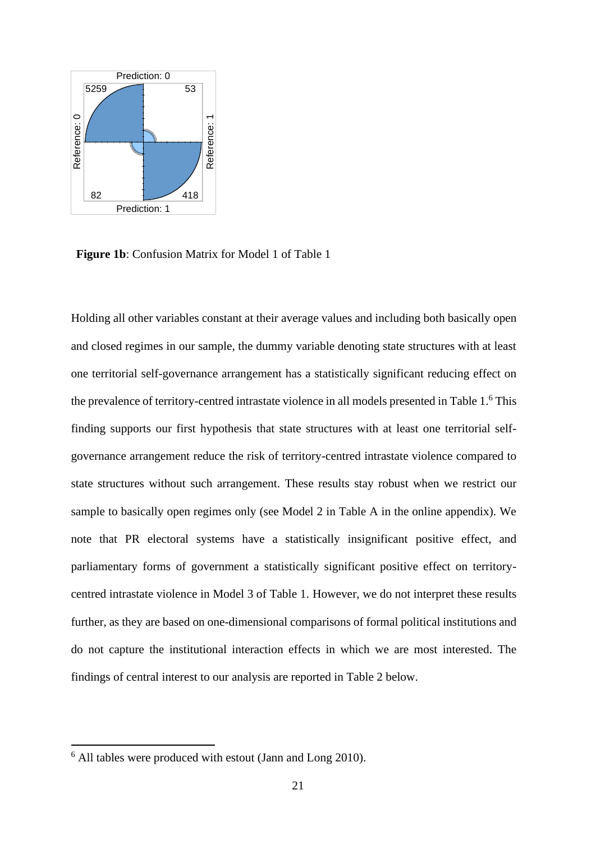

**Figure 1b**: Confusion Matrix for Model 1 of Table 1

Holding all other variables constant at their average values and including both basically open and closed regimes in our sample, the dummy variable denoting state structures with at least one territorial self-governance arrangement has a statistically significant reducing effect on the prevalence of territory-centred intrastate violence in all models presented in Table 1.<sup>6</sup> This finding supports our first hypothesis that state structures with at least one territorial selfgovernance arrangement reduce the risk of territory-centred intrastate violence compared to state structures without such arrangement. These results stay robust when we restrict our sample to basically open regimes only (see Model 2 in Table A in the online appendix). We note that PR electoral systems have a statistically insignificant positive effect, and parliamentary forms of government a statistically significant positive effect on territorycentred intrastate violence in Model 3 of Table 1. However, we do not interpret these results further, as they are based on one-dimensional comparisons of formal political institutions and do not capture the institutional interaction effects in which we are most interested. The findings of central interest to our analysis are reported in Table 2 below.

<sup>6</sup> All tables were produced with estout (Jann and Long 2010).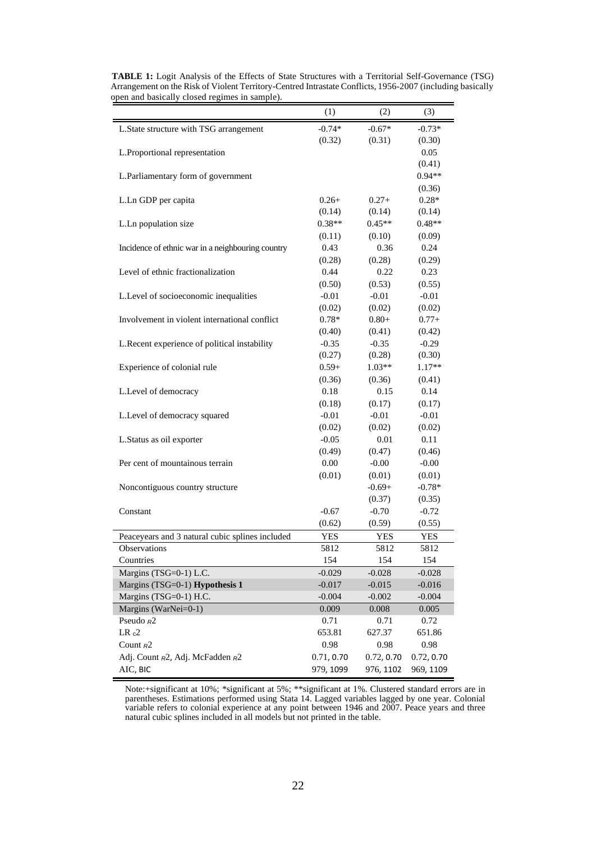|                                                   | (1)        | (2)        | (3)        |
|---------------------------------------------------|------------|------------|------------|
| L. State structure with TSG arrangement           | $-0.74*$   | $-0.67*$   | $-0.73*$   |
|                                                   | (0.32)     | (0.31)     | (0.30)     |
| L.Proportional representation                     |            |            | 0.05       |
|                                                   |            |            | (0.41)     |
| L.Parliamentary form of government                |            |            | $0.94**$   |
|                                                   |            |            | (0.36)     |
| L.Ln GDP per capita                               | $0.26+$    | $0.27+$    | $0.28*$    |
|                                                   | (0.14)     | (0.14)     | (0.14)     |
| L.Ln population size                              | $0.38**$   | $0.45**$   | $0.48**$   |
|                                                   | (0.11)     | (0.10)     | (0.09)     |
| Incidence of ethnic war in a neighbouring country | 0.43       | 0.36       | 0.24       |
|                                                   | (0.28)     | (0.28)     | (0.29)     |
| Level of ethnic fractionalization                 | 0.44       | 0.22       | 0.23       |
|                                                   | (0.50)     | (0.53)     | (0.55)     |
| L.Level of socioeconomic inequalities             | $-0.01$    | $-0.01$    | $-0.01$    |
|                                                   | (0.02)     | (0.02)     | (0.02)     |
| Involvement in violent international conflict     | $0.78*$    | $0.80 +$   | $0.77+$    |
|                                                   | (0.40)     | (0.41)     | (0.42)     |
| L.Recent experience of political instability      | $-0.35$    | $-0.35$    | $-0.29$    |
|                                                   | (0.27)     | (0.28)     | (0.30)     |
| Experience of colonial rule                       | $0.59+$    | $1.03**$   | 1.17**     |
|                                                   | (0.36)     | (0.36)     | (0.41)     |
| L.Level of democracy                              | 0.18       | 0.15       | 0.14       |
|                                                   | (0.18)     | (0.17)     | (0.17)     |
| L.Level of democracy squared                      | $-0.01$    | $-0.01$    | $-0.01$    |
|                                                   | (0.02)     | (0.02)     | (0.02)     |
| L.Status as oil exporter                          | $-0.05$    | 0.01       | 0.11       |
|                                                   | (0.49)     | (0.47)     | (0.46)     |
| Per cent of mountainous terrain                   | 0.00       | $-0.00$    | $-0.00$    |
|                                                   | (0.01)     | (0.01)     | (0.01)     |
| Noncontiguous country structure                   |            | $-0.69+$   | $-0.78*$   |
|                                                   |            | (0.37)     | (0.35)     |
| Constant                                          | $-0.67$    | $-0.70$    | $-0.72$    |
|                                                   | (0.62)     | (0.59)     | (0.55)     |
| Peaceyears and 3 natural cubic splines included   | YES        | <b>YES</b> | <b>YES</b> |
| <b>Observations</b>                               | 5812       | 5812       | 5812       |
| Countries                                         | 154        | 154        | 154        |
| Margins (TSG=0-1) L.C.                            | $-0.029$   | $-0.028$   | $-0.028$   |
| Margins (TSG=0-1) Hypothesis 1                    | $-0.017$   | $-0.015$   | $-0.016$   |
| Margins (TSG=0-1) H.C.                            | $-0.004$   | $-0.002$   | $-0.004$   |
| Margins (WarNei=0-1)                              | 0.009      | 0.008      | 0.005      |
| Pseudo R <sub>2</sub>                             | 0.71       | 0.71       | 0.72       |
| LR <sub>c</sub> 2                                 | 653.81     | 627.37     | 651.86     |
| Count $R^2$                                       | 0.98       | 0.98       | 0.98       |
| Adj. Count R2, Adj. McFadden R2                   | 0.71, 0.70 | 0.72, 0.70 | 0.72, 0.70 |
| AIC, BIC                                          | 979, 1099  | 976, 1102  | 969, 1109  |

**TABLE 1:** Logit Analysis of the Effects of State Structures with a Territorial Self-Governance (TSG) Arrangement on the Risk of Violent Territory-Centred Intrastate Conflicts, 1956-2007 (including basically open and basically closed regimes in sample).

Note:+significant at 10%; \*significant at 5%; \*\*significant at 1%. Clustered standard errors are in parentheses. Estimations performed using Stata 14. Lagged variables lagged by one year. Colonial variable refers to colonial experience at any point between 1946 and 2007. Peace years and three natural cubic splines included in all models but not printed in the table.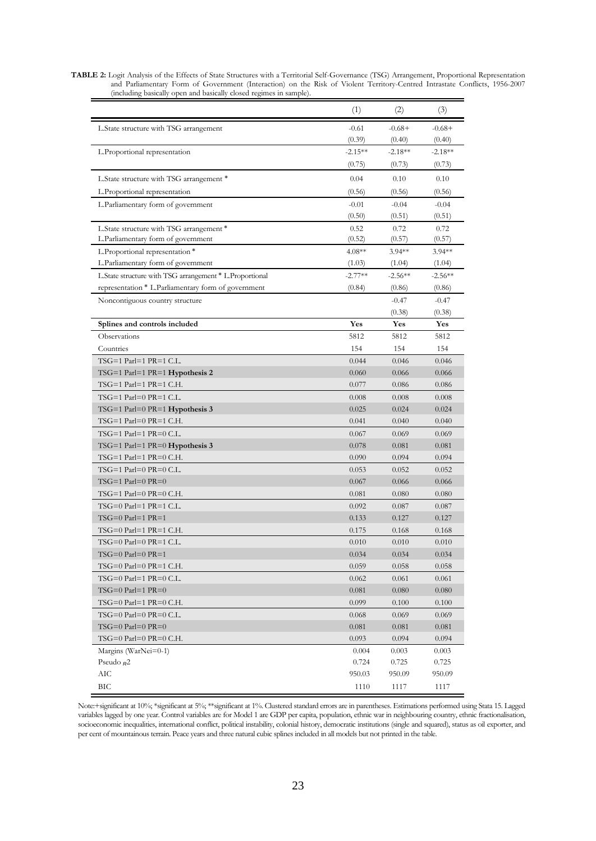| <b>TABLE 2:</b> Logit Analysis of the Effects of State Structures with a Territorial Self-Governance (TSG) Arrangement, Proportional Representation |
|-----------------------------------------------------------------------------------------------------------------------------------------------------|
| and Parliamentary Form of Government (Interaction) on the Risk of Violent Territory-Centred Intrastate Conflicts, 1956-2007                         |
| (including basically open and basically closed regimes in sample).                                                                                  |
|                                                                                                                                                     |

|                                                         | (1)       | (2)       | (3)       |
|---------------------------------------------------------|-----------|-----------|-----------|
| L. State structure with TSG arrangement                 | $-0.61$   | $-0.68+$  | $-0.68+$  |
|                                                         | (0.39)    | (0.40)    | (0.40)    |
| L.Proportional representation                           | $-2.15**$ | $-2.18**$ | $-2.18**$ |
|                                                         | (0.75)    | (0.73)    | (0.73)    |
| L.State structure with TSG arrangement *                | 0.04      | 0.10      | 0.10      |
| L.Proportional representation                           | (0.56)    | (0.56)    | (0.56)    |
| L.Parliamentary form of government                      | $-0.01$   | $-0.04$   | $-0.04$   |
|                                                         | (0.50)    | (0.51)    | (0.51)    |
| L.State structure with TSG arrangement *                | 0.52      | 0.72      | 0.72      |
| L.Parliamentary form of government                      | (0.52)    | (0.57)    | (0.57)    |
| L.Proportional representation *                         | $4.08**$  | $3.94**$  | $3.94**$  |
| L.Parliamentary form of government                      | (1.03)    | (1.04)    | (1.04)    |
| L.State structure with TSG arrangement * L.Proportional | $-2.77**$ | $-2.56**$ | $-2.56**$ |
| representation * L.Parliamentary form of government     | (0.84)    | (0.86)    | (0.86)    |
| Noncontiguous country structure                         |           | $-0.47$   | $-0.47$   |
|                                                         |           | (0.38)    | (0.38)    |
| Splines and controls included                           | Yes       | Yes       | Yes       |
| Observations                                            | 5812      | 5812      | 5812      |
| Countries                                               | 154       | 154       | 154       |
| TSG=1 Parl=1 PR=1 C.L.                                  | 0.044     | 0.046     | 0.046     |
| $TSG=1$ Parl=1 PR=1 Hypothesis 2                        | 0.060     | 0.066     | 0.066     |
| $TSG=1$ Parl=1 PR=1 C.H.                                | 0.077     | 0.086     | 0.086     |
| $TSG=1$ Parl=0 PR=1 C.L.                                | 0.008     | 0.008     | 0.008     |
| TSG=1 Parl=0 PR=1 <b>Hypothesis 3</b>                   | 0.025     | 0.024     | 0.024     |
| $TSG=1$ Parl=0 PR=1 C.H.                                | 0.041     | 0.040     | 0.040     |
| $TSG=1$ Parl=1 PR=0 C.L.                                | 0.067     | 0.069     | 0.069     |
| TSG=1 Parl=1 PR=0 $Hypothesis$ 3                        | 0.078     | 0.081     | 0.081     |
| $TSG=1$ Parl=1 PR=0 C.H.                                | 0.090     | 0.094     | 0.094     |
| $TSG=1$ Parl=0 PR=0 C.L.                                | 0.053     | 0.052     | 0.052     |
| $TSG=1$ Parl=0 PR=0                                     | 0.067     | 0.066     | 0.066     |
| $TSG=1$ Parl=0 PR=0 C.H.                                | 0.081     | 0.080     | 0.080     |
| $TSG=0$ Parl=1 PR=1 C.L.                                | 0.092     | 0.087     | 0.087     |
| $TSG=0$ Parl=1 PR=1                                     | 0.133     | 0.127     | 0.127     |
| $TSG=0$ Parl=1 PR=1 C.H.                                | 0.175     | 0.168     | 0.168     |
| $TSG=0$ Parl=0 PR=1 C.L.                                | 0.010     | 0.010     | 0.010     |
| $TSG=0$ Parl=0 PR=1                                     | 0.034     | 0.034     | 0.034     |
| $TSG=0$ Parl=0 PR=1 C.H.                                | 0.059     | 0.058     | 0.058     |
| $TSG=0$ Parl=1 PR=0 C.L.                                | 0.062     | 0.061     | 0.061     |
| $TSG=0$ Parl=1 PR=0                                     | 0.081     | 0.080     | 0.080     |
| $TSG=0$ Parl=1 PR=0 C.H.                                | 0.099     | 0.100     | 0.100     |
| $TSG=0$ Parl=0 PR=0 C.L.                                | 0.068     | 0.069     | 0.069     |
| $TSG=0$ Parl=0 PR=0                                     | 0.081     | 0.081     | 0.081     |
| $TSG=0$ Parl=0 PR=0 C.H.                                | 0.093     | 0.094     | 0.094     |
| Margins (War $Nei=0-1$ )                                | 0.004     | 0.003     | 0.003     |
| Pseudo $R^2$                                            | 0.724     | 0.725     | 0.725     |
| AIС                                                     | 950.03    | 950.09    | 950.09    |
| <b>BIC</b>                                              | 1110      | 1117      | 1117      |

Note:+significant at 10%; \*significant at 5%; \*\*significant at 1%. Clustered standard errors are in parentheses. Estimations performed using Stata 15. Lagged variables lagged by one year. Control variables are for Model 1 are GDP per capita, population, ethnic war in neighbouring country, ethnic fractionalisation, socioeconomic inequalities, international conflict, political instability, colonial history, democratic institutions (single and squared), status as oil exporter, and per cent of mountainous terrain. Peace years and three natural cubic splines included in all models but not printed in the table.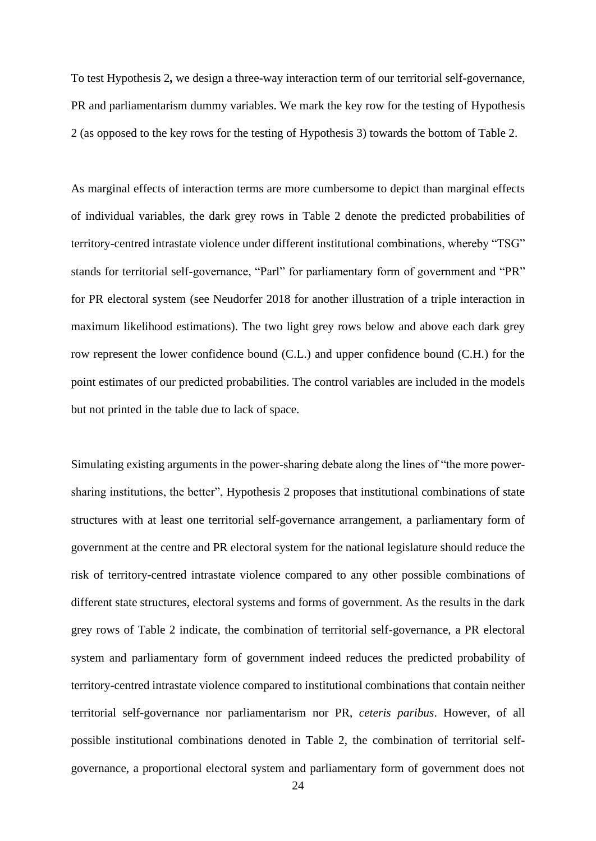To test Hypothesis 2**,** we design a three-way interaction term of our territorial self-governance, PR and parliamentarism dummy variables. We mark the key row for the testing of Hypothesis 2 (as opposed to the key rows for the testing of Hypothesis 3) towards the bottom of Table 2.

As marginal effects of interaction terms are more cumbersome to depict than marginal effects of individual variables, the dark grey rows in Table 2 denote the predicted probabilities of territory-centred intrastate violence under different institutional combinations, whereby "TSG" stands for territorial self-governance, "Parl" for parliamentary form of government and "PR" for PR electoral system (see Neudorfer 2018 for another illustration of a triple interaction in maximum likelihood estimations). The two light grey rows below and above each dark grey row represent the lower confidence bound (C.L.) and upper confidence bound (C.H.) for the point estimates of our predicted probabilities. The control variables are included in the models but not printed in the table due to lack of space.

Simulating existing arguments in the power-sharing debate along the lines of "the more powersharing institutions, the better", Hypothesis 2 proposes that institutional combinations of state structures with at least one territorial self-governance arrangement, a parliamentary form of government at the centre and PR electoral system for the national legislature should reduce the risk of territory-centred intrastate violence compared to any other possible combinations of different state structures, electoral systems and forms of government. As the results in the dark grey rows of Table 2 indicate, the combination of territorial self-governance, a PR electoral system and parliamentary form of government indeed reduces the predicted probability of territory-centred intrastate violence compared to institutional combinations that contain neither territorial self-governance nor parliamentarism nor PR, *ceteris paribus*. However, of all possible institutional combinations denoted in Table 2, the combination of territorial selfgovernance, a proportional electoral system and parliamentary form of government does not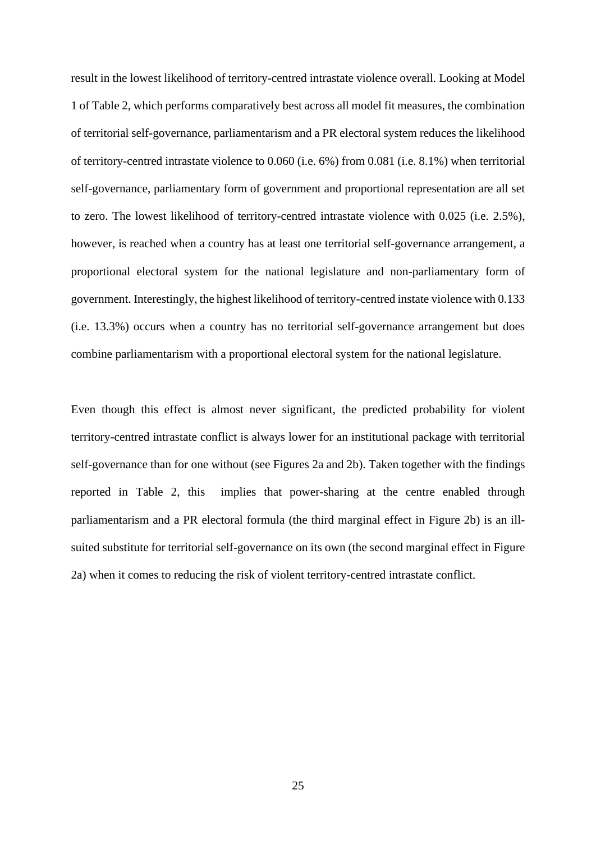result in the lowest likelihood of territory-centred intrastate violence overall. Looking at Model 1 of Table 2, which performs comparatively best across all model fit measures, the combination of territorial self-governance, parliamentarism and a PR electoral system reduces the likelihood of territory-centred intrastate violence to 0.060 (i.e. 6%) from 0.081 (i.e. 8.1%) when territorial self-governance, parliamentary form of government and proportional representation are all set to zero. The lowest likelihood of territory-centred intrastate violence with 0.025 (i.e. 2.5%), however, is reached when a country has at least one territorial self-governance arrangement, a proportional electoral system for the national legislature and non-parliamentary form of government. Interestingly, the highest likelihood of territory-centred instate violence with 0.133 (i.e. 13.3%) occurs when a country has no territorial self-governance arrangement but does combine parliamentarism with a proportional electoral system for the national legislature.

Even though this effect is almost never significant, the predicted probability for violent territory-centred intrastate conflict is always lower for an institutional package with territorial self-governance than for one without (see Figures 2a and 2b). Taken together with the findings reported in Table 2, this implies that power-sharing at the centre enabled through parliamentarism and a PR electoral formula (the third marginal effect in Figure 2b) is an illsuited substitute for territorial self-governance on its own (the second marginal effect in Figure 2a) when it comes to reducing the risk of violent territory-centred intrastate conflict.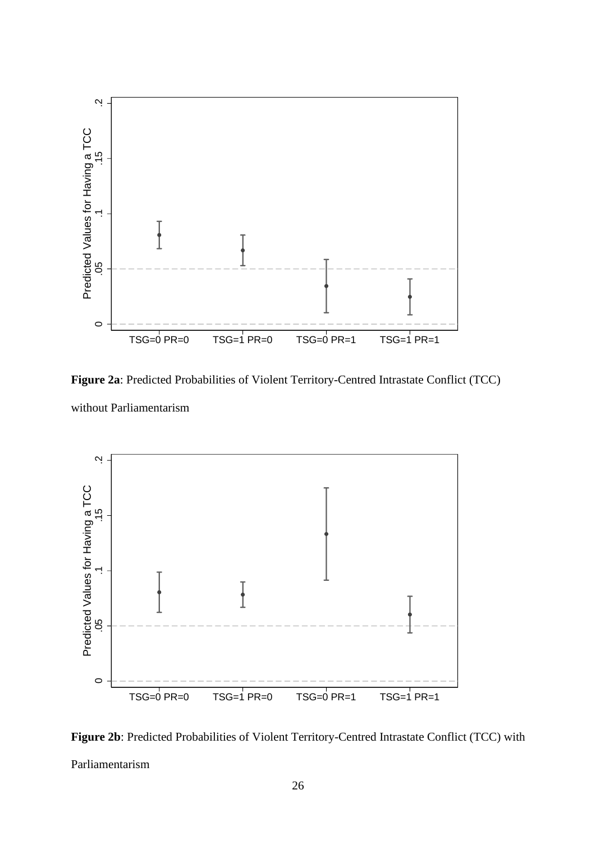

**Figure 2a**: Predicted Probabilities of Violent Territory-Centred Intrastate Conflict (TCC) without Parliamentarism



**Figure 2b**: Predicted Probabilities of Violent Territory-Centred Intrastate Conflict (TCC) with Parliamentarism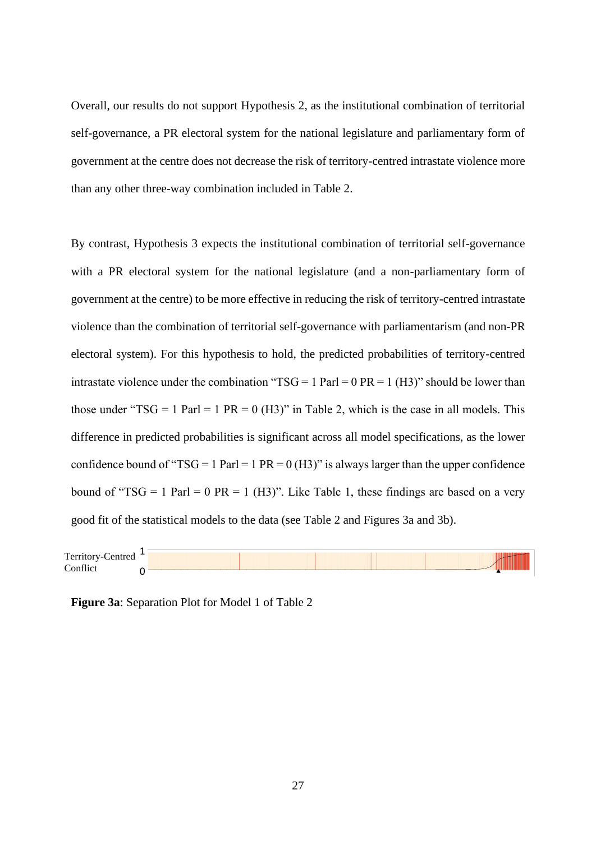Overall, our results do not support Hypothesis 2, as the institutional combination of territorial self-governance, a PR electoral system for the national legislature and parliamentary form of government at the centre does not decrease the risk of territory-centred intrastate violence more than any other three-way combination included in Table 2.

By contrast, Hypothesis 3 expects the institutional combination of territorial self-governance with a PR electoral system for the national legislature (and a non-parliamentary form of government at the centre) to be more effective in reducing the risk of territory-centred intrastate violence than the combination of territorial self-governance with parliamentarism (and non-PR electoral system). For this hypothesis to hold, the predicted probabilities of territory-centred intrastate violence under the combination " $TSG = 1$  Parl = 0 PR = 1 (H3)" should be lower than those under "TSG = 1 Parl = 1 PR = 0 (H3)" in Table 2, which is the case in all models. This difference in predicted probabilities is significant across all model specifications, as the lower confidence bound of "TSG = 1 Parl = 1 PR = 0 (H3)" is always larger than the upper confidence bound of "TSG = 1 Parl = 0 PR = 1 (H3)". Like Table 1, these findings are based on a very good fit of the statistical models to the data (see Table 2 and Figures 3a and 3b).

| $\mathbf{r}$<br>-<br>∴`err<br>$\sim$ $\sim$ $\sim$ $\sim$<br>$\cdots$<br>. |  |  |
|----------------------------------------------------------------------------|--|--|
| $\sim$<br>⌒                                                                |  |  |
|                                                                            |  |  |

**Figure 3a**: Separation Plot for Model 1 of Table 2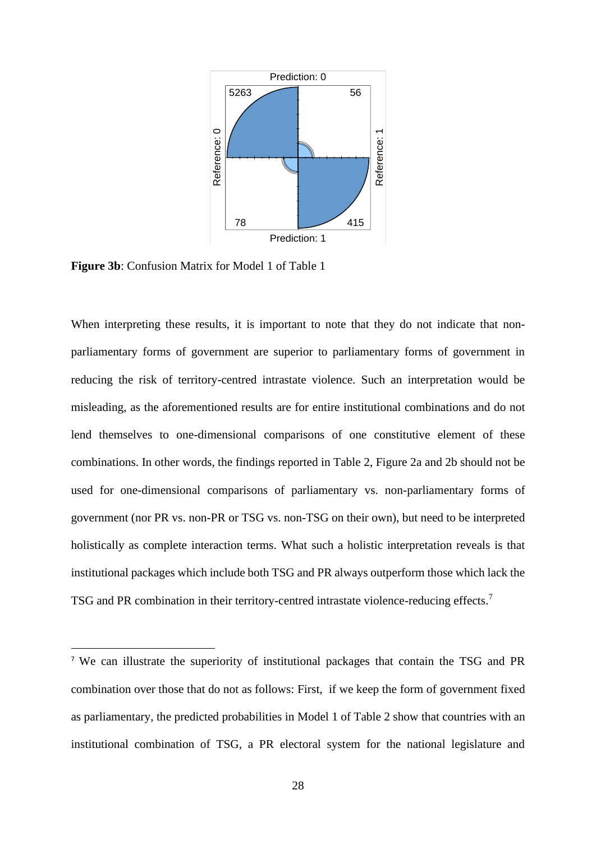

**Figure 3b**: Confusion Matrix for Model 1 of Table 1

When interpreting these results, it is important to note that they do not indicate that nonparliamentary forms of government are superior to parliamentary forms of government in reducing the risk of territory-centred intrastate violence. Such an interpretation would be misleading, as the aforementioned results are for entire institutional combinations and do not lend themselves to one-dimensional comparisons of one constitutive element of these combinations. In other words, the findings reported in Table 2, Figure 2a and 2b should not be used for one-dimensional comparisons of parliamentary vs. non-parliamentary forms of government (nor PR vs. non-PR or TSG vs. non-TSG on their own), but need to be interpreted holistically as complete interaction terms. What such a holistic interpretation reveals is that institutional packages which include both TSG and PR always outperform those which lack the TSG and PR combination in their territory-centred intrastate violence-reducing effects.<sup>7</sup>

<sup>7</sup> We can illustrate the superiority of institutional packages that contain the TSG and PR combination over those that do not as follows: First, if we keep the form of government fixed as parliamentary, the predicted probabilities in Model 1 of Table 2 show that countries with an institutional combination of TSG, a PR electoral system for the national legislature and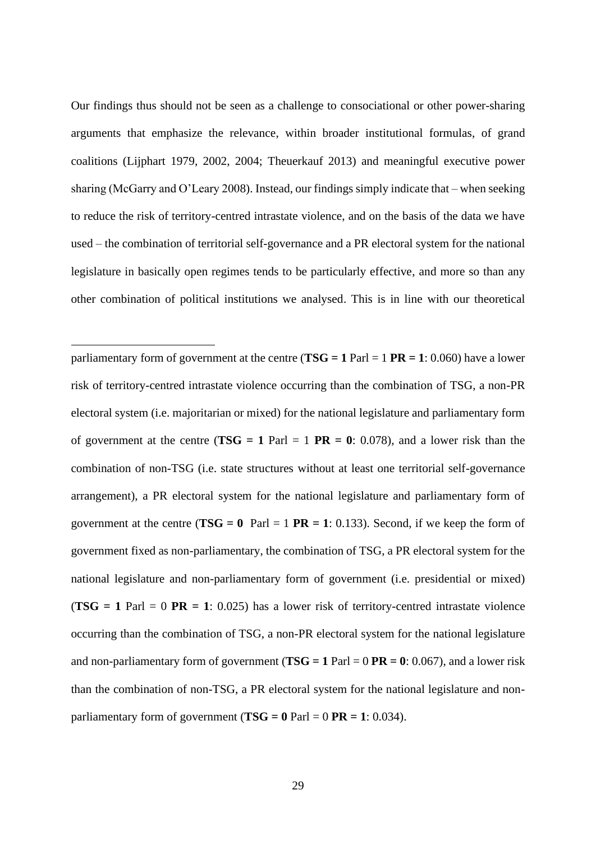Our findings thus should not be seen as a challenge to consociational or other power-sharing arguments that emphasize the relevance, within broader institutional formulas, of grand coalitions (Lijphart 1979, 2002, 2004; Theuerkauf 2013) and meaningful executive power sharing (McGarry and O'Leary 2008). Instead, our findings simply indicate that – when seeking to reduce the risk of territory-centred intrastate violence, and on the basis of the data we have used – the combination of territorial self-governance and a PR electoral system for the national legislature in basically open regimes tends to be particularly effective, and more so than any other combination of political institutions we analysed. This is in line with our theoretical

parliamentary form of government at the centre ( $TSG = 1$  Parl = 1 PR = 1: 0.060) have a lower risk of territory-centred intrastate violence occurring than the combination of TSG, a non-PR electoral system (i.e. majoritarian or mixed) for the national legislature and parliamentary form of government at the centre ( $TSG = 1$  Parl = 1 PR = 0: 0.078), and a lower risk than the combination of non-TSG (i.e. state structures without at least one territorial self-governance arrangement), a PR electoral system for the national legislature and parliamentary form of government at the centre ( $TSG = 0$  Parl = 1 **PR** = 1: 0.133). Second, if we keep the form of government fixed as non-parliamentary, the combination of TSG, a PR electoral system for the national legislature and non-parliamentary form of government (i.e. presidential or mixed)  $(TSG = 1$  Parl  $= 0$  PR  $= 1$ : 0.025) has a lower risk of territory-centred intrastate violence occurring than the combination of TSG, a non-PR electoral system for the national legislature and non-parliamentary form of government ( $TSG = 1$  Parl = 0 **PR = 0**: 0.067), and a lower risk than the combination of non-TSG, a PR electoral system for the national legislature and nonparliamentary form of government ( $TSG = 0$  Parl  $= 0$  PR  $= 1$ : 0.034).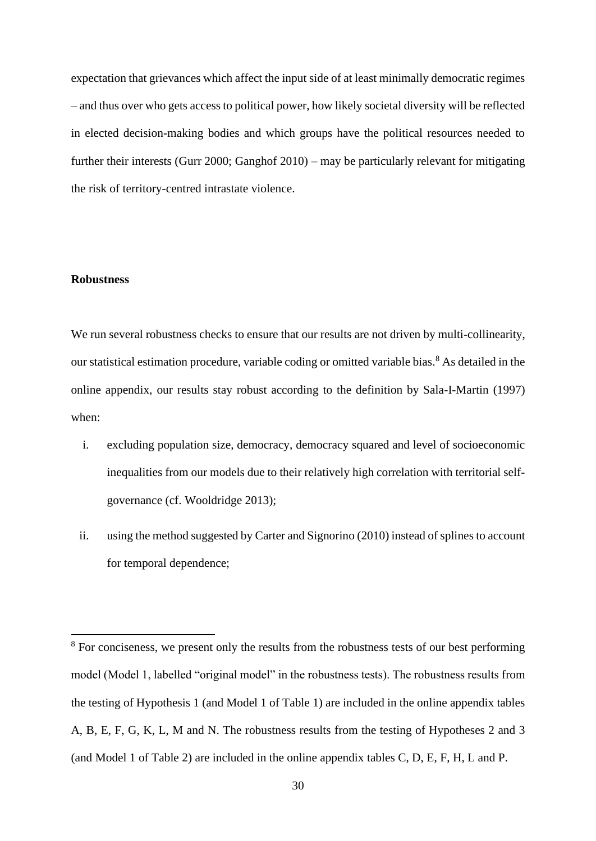expectation that grievances which affect the input side of at least minimally democratic regimes – and thus over who gets access to political power, how likely societal diversity will be reflected in elected decision-making bodies and which groups have the political resources needed to further their interests (Gurr 2000; Ganghof 2010) – may be particularly relevant for mitigating the risk of territory-centred intrastate violence.

# **Robustness**

We run several robustness checks to ensure that our results are not driven by multi-collinearity, our statistical estimation procedure, variable coding or omitted variable bias.<sup>8</sup> As detailed in the online appendix, our results stay robust according to the definition by Sala-I-Martin (1997) when:

- i. excluding population size, democracy, democracy squared and level of socioeconomic inequalities from our models due to their relatively high correlation with territorial selfgovernance (cf. Wooldridge 2013);
- ii. using the method suggested by Carter and Signorino (2010) instead of splines to account for temporal dependence;

<sup>&</sup>lt;sup>8</sup> For conciseness, we present only the results from the robustness tests of our best performing model (Model 1, labelled "original model" in the robustness tests). The robustness results from the testing of Hypothesis 1 (and Model 1 of Table 1) are included in the online appendix tables A, B, E, F, G, K, L, M and N. The robustness results from the testing of Hypotheses 2 and 3 (and Model 1 of Table 2) are included in the online appendix tables C, D, E, F, H, L and P.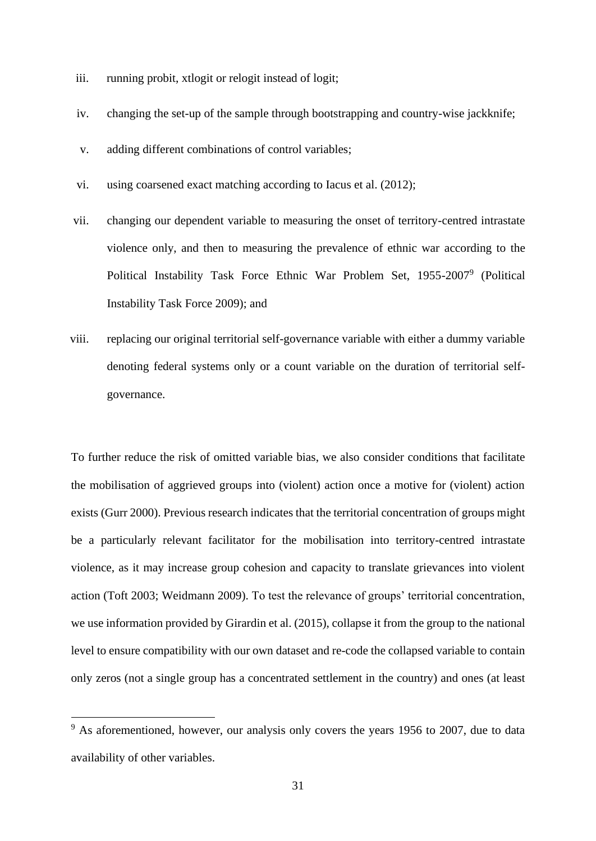- iii. running probit, xtlogit or relogit instead of logit;
- iv. changing the set-up of the sample through bootstrapping and country-wise jackknife;
- v. adding different combinations of control variables;
- vi. using coarsened exact matching according to Iacus et al. (2012);
- vii. changing our dependent variable to measuring the onset of territory-centred intrastate violence only, and then to measuring the prevalence of ethnic war according to the Political Instability Task Force Ethnic War Problem Set, 1955-2007<sup>9</sup> (Political Instability Task Force 2009); and
- viii. replacing our original territorial self-governance variable with either a dummy variable denoting federal systems only or a count variable on the duration of territorial selfgovernance.

To further reduce the risk of omitted variable bias, we also consider conditions that facilitate the mobilisation of aggrieved groups into (violent) action once a motive for (violent) action exists (Gurr 2000). Previous research indicates that the territorial concentration of groups might be a particularly relevant facilitator for the mobilisation into territory-centred intrastate violence, as it may increase group cohesion and capacity to translate grievances into violent action (Toft 2003; Weidmann 2009). To test the relevance of groups' territorial concentration, we use information provided by Girardin et al. (2015), collapse it from the group to the national level to ensure compatibility with our own dataset and re-code the collapsed variable to contain only zeros (not a single group has a concentrated settlement in the country) and ones (at least

 $9<sup>9</sup>$  As aforementioned, however, our analysis only covers the years 1956 to 2007, due to data availability of other variables.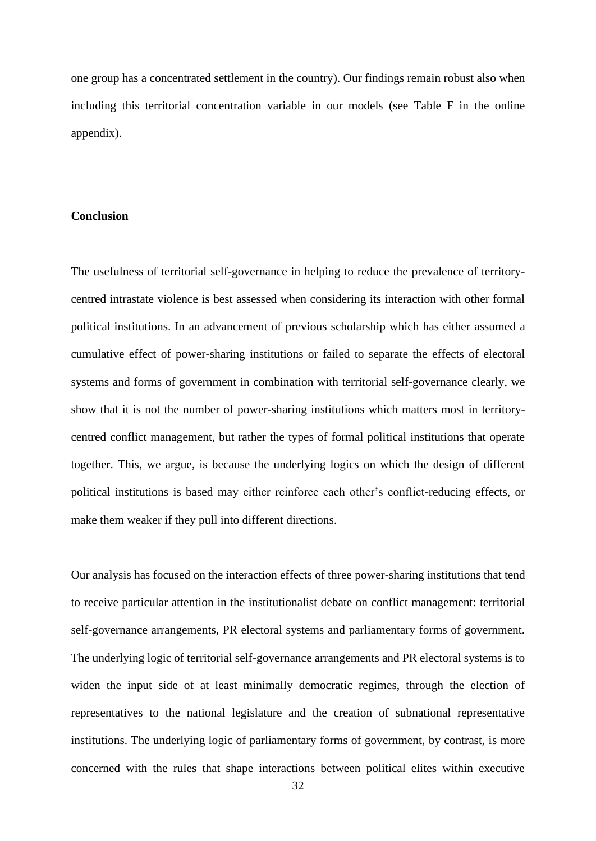one group has a concentrated settlement in the country). Our findings remain robust also when including this territorial concentration variable in our models (see Table F in the online appendix).

# **Conclusion**

The usefulness of territorial self-governance in helping to reduce the prevalence of territorycentred intrastate violence is best assessed when considering its interaction with other formal political institutions. In an advancement of previous scholarship which has either assumed a cumulative effect of power-sharing institutions or failed to separate the effects of electoral systems and forms of government in combination with territorial self-governance clearly, we show that it is not the number of power-sharing institutions which matters most in territorycentred conflict management, but rather the types of formal political institutions that operate together. This, we argue, is because the underlying logics on which the design of different political institutions is based may either reinforce each other's conflict-reducing effects, or make them weaker if they pull into different directions.

Our analysis has focused on the interaction effects of three power-sharing institutions that tend to receive particular attention in the institutionalist debate on conflict management: territorial self-governance arrangements, PR electoral systems and parliamentary forms of government. The underlying logic of territorial self-governance arrangements and PR electoral systems is to widen the input side of at least minimally democratic regimes, through the election of representatives to the national legislature and the creation of subnational representative institutions. The underlying logic of parliamentary forms of government, by contrast, is more concerned with the rules that shape interactions between political elites within executive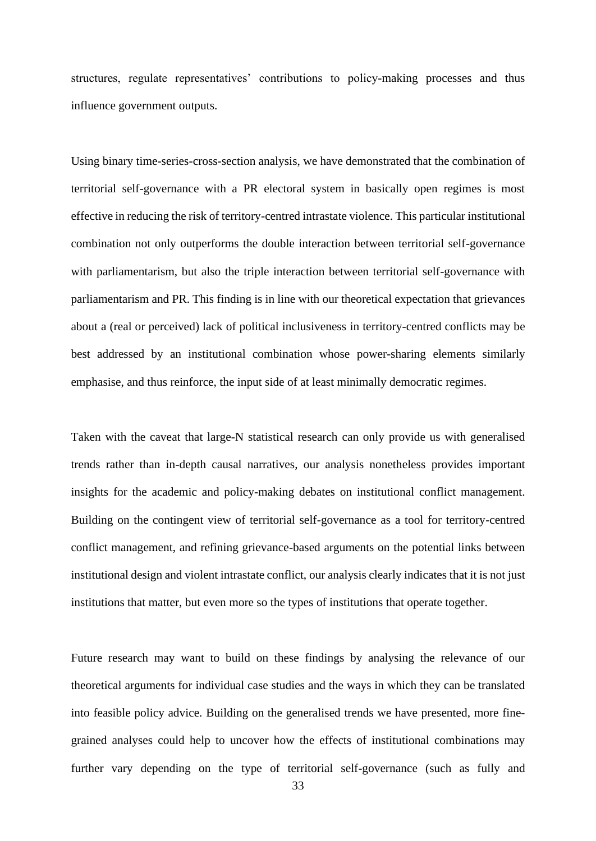structures, regulate representatives' contributions to policy-making processes and thus influence government outputs.

Using binary time-series-cross-section analysis, we have demonstrated that the combination of territorial self-governance with a PR electoral system in basically open regimes is most effective in reducing the risk of territory-centred intrastate violence. This particular institutional combination not only outperforms the double interaction between territorial self-governance with parliamentarism, but also the triple interaction between territorial self-governance with parliamentarism and PR. This finding is in line with our theoretical expectation that grievances about a (real or perceived) lack of political inclusiveness in territory-centred conflicts may be best addressed by an institutional combination whose power-sharing elements similarly emphasise, and thus reinforce, the input side of at least minimally democratic regimes.

Taken with the caveat that large-N statistical research can only provide us with generalised trends rather than in-depth causal narratives, our analysis nonetheless provides important insights for the academic and policy-making debates on institutional conflict management. Building on the contingent view of territorial self-governance as a tool for territory-centred conflict management, and refining grievance-based arguments on the potential links between institutional design and violent intrastate conflict, our analysis clearly indicates that it is not just institutions that matter, but even more so the types of institutions that operate together.

Future research may want to build on these findings by analysing the relevance of our theoretical arguments for individual case studies and the ways in which they can be translated into feasible policy advice. Building on the generalised trends we have presented, more finegrained analyses could help to uncover how the effects of institutional combinations may further vary depending on the type of territorial self-governance (such as fully and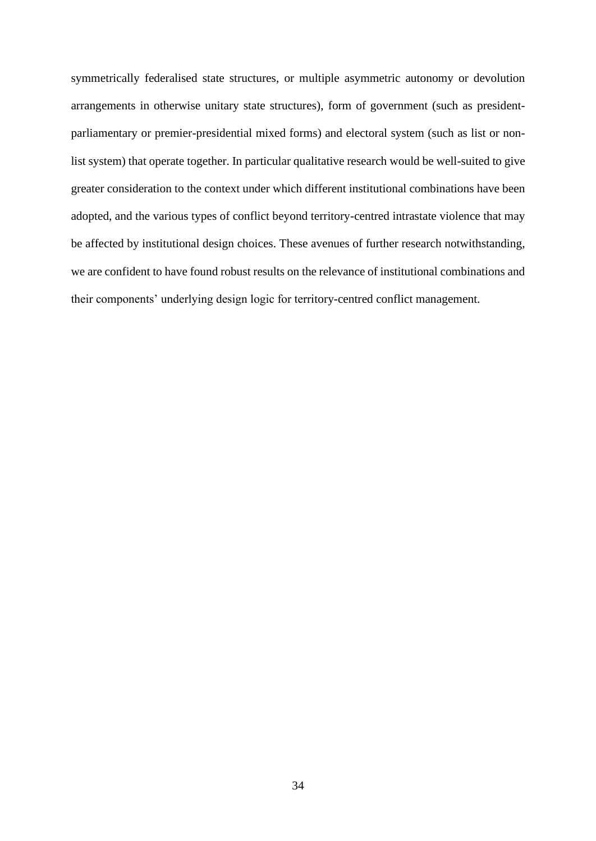symmetrically federalised state structures, or multiple asymmetric autonomy or devolution arrangements in otherwise unitary state structures), form of government (such as presidentparliamentary or premier-presidential mixed forms) and electoral system (such as list or nonlist system) that operate together. In particular qualitative research would be well-suited to give greater consideration to the context under which different institutional combinations have been adopted, and the various types of conflict beyond territory-centred intrastate violence that may be affected by institutional design choices. These avenues of further research notwithstanding, we are confident to have found robust results on the relevance of institutional combinations and their components' underlying design logic for territory-centred conflict management.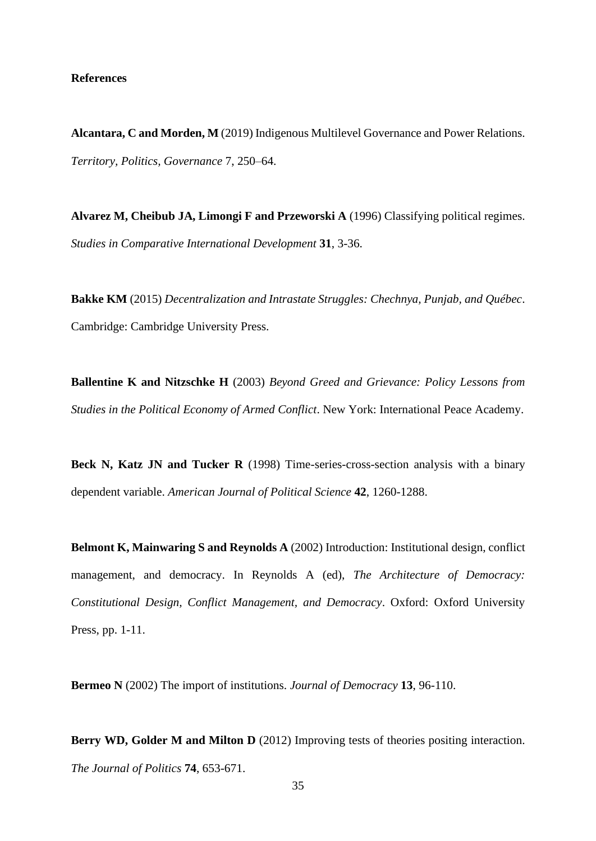# **References**

**Alcantara, C and Morden, M** (2019) Indigenous Multilevel Governance and Power Relations. *Territory, Politics, Governance* 7, 250–64.

**Alvarez M, Cheibub JA, Limongi F and Przeworski A** (1996) Classifying political regimes. *Studies in Comparative International Development* **31**, 3-36.

**Bakke KM** (2015) *Decentralization and Intrastate Struggles: Chechnya, Punjab, and Québec*. Cambridge: Cambridge University Press.

**Ballentine K and Nitzschke H** (2003) *Beyond Greed and Grievance: Policy Lessons from Studies in the Political Economy of Armed Conflict*. New York: International Peace Academy.

**Beck N, Katz JN and Tucker R** (1998) Time-series-cross-section analysis with a binary dependent variable. *American Journal of Political Science* **42**, 1260-1288.

**Belmont K, Mainwaring S and Reynolds A** (2002) Introduction: Institutional design, conflict management, and democracy. In Reynolds A (ed), *The Architecture of Democracy: Constitutional Design, Conflict Management, and Democracy*. Oxford: Oxford University Press, pp. 1-11.

**Bermeo N** (2002) The import of institutions. *Journal of Democracy* **13**, 96-110.

**Berry WD, Golder M and Milton D** (2012) Improving tests of theories positing interaction. *The Journal of Politics* **74**, 653-671.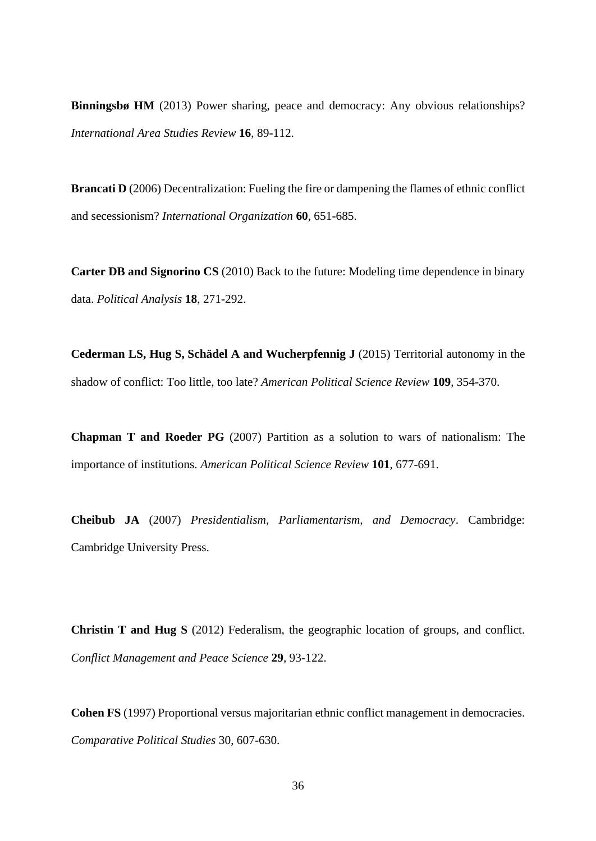**Binningsbø HM** (2013) Power sharing, peace and democracy: Any obvious relationships? *International Area Studies Review* **16**, 89-112.

**Brancati D** (2006) Decentralization: Fueling the fire or dampening the flames of ethnic conflict and secessionism? *International Organization* **60**, 651-685.

**Carter DB and Signorino CS** (2010) Back to the future: Modeling time dependence in binary data. *Political Analysis* **18**, 271-292.

**Cederman LS, Hug S, Schädel A and Wucherpfennig J** (2015) Territorial autonomy in the shadow of conflict: Too little, too late? *American Political Science Review* **109**, 354-370.

**Chapman T and Roeder PG** (2007) Partition as a solution to wars of nationalism: The importance of institutions. *American Political Science Review* **101**, 677-691.

**Cheibub JA** (2007) *Presidentialism, Parliamentarism, and Democracy*. Cambridge: Cambridge University Press.

**Christin T and Hug S** (2012) Federalism, the geographic location of groups, and conflict. *Conflict Management and Peace Science* **29**, 93-122.

**Cohen FS** (1997) Proportional versus majoritarian ethnic conflict management in democracies. *Comparative Political Studies* 30, 607-630.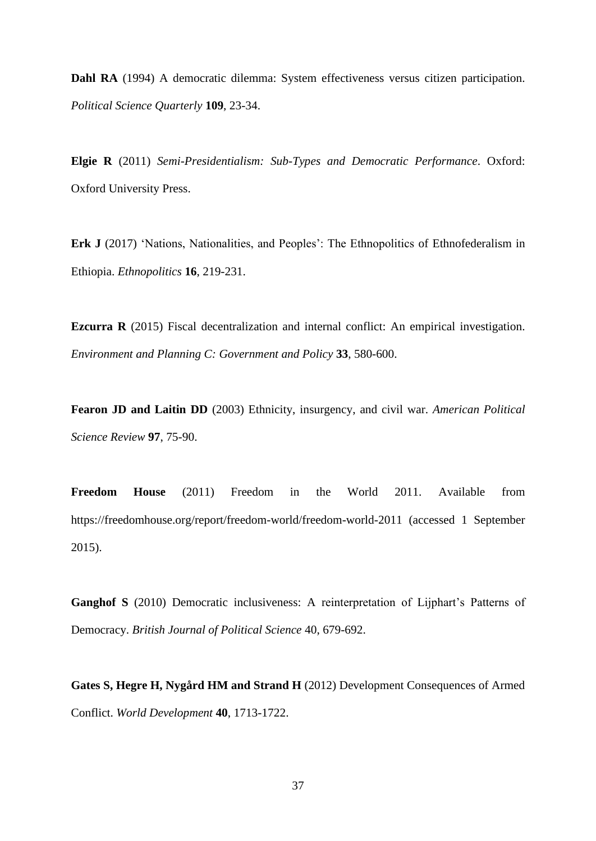**Dahl RA** (1994) A democratic dilemma: System effectiveness versus citizen participation. *Political Science Quarterly* **109**, 23-34.

**Elgie R** (2011) *Semi-Presidentialism: Sub-Types and Democratic Performance*. Oxford: Oxford University Press.

**Erk J** (2017) 'Nations, Nationalities, and Peoples': The Ethnopolitics of Ethnofederalism in Ethiopia. *Ethnopolitics* **16**, 219-231.

**Ezcurra R** (2015) Fiscal decentralization and internal conflict: An empirical investigation. *Environment and Planning C: Government and Policy* **33**, 580-600.

**Fearon JD and Laitin DD** (2003) Ethnicity, insurgency, and civil war. *American Political Science Review* **97**, 75-90.

**Freedom House** (2011) Freedom in the World 2011. Available from https://freedomhouse.org/report/freedom-world/freedom-world-2011 (accessed 1 September 2015).

**Ganghof S** (2010) Democratic inclusiveness: A reinterpretation of Lijphart's Patterns of Democracy. *British Journal of Political Science* 40, 679-692.

**Gates S, Hegre H, Nygård HM and Strand H** (2012) Development Consequences of Armed Conflict. *World Development* **40**, 1713-1722.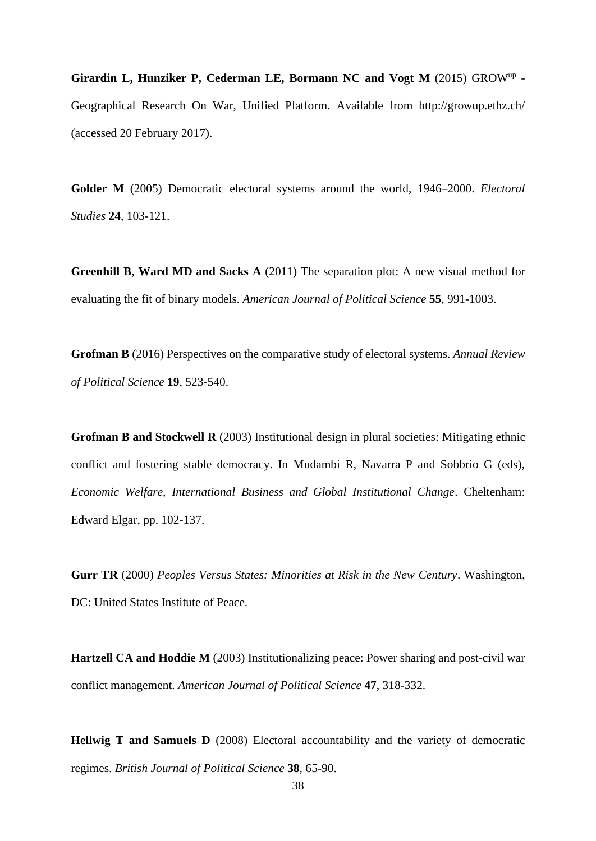**Girardin L, Hunziker P, Cederman LE, Bormann NC and Vogt M** (2015) GROWup - Geographical Research On War, Unified Platform. Available from http://growup.ethz.ch/ (accessed 20 February 2017).

**Golder M** (2005) Democratic electoral systems around the world, 1946–2000. *Electoral Studies* **24**, 103-121.

**Greenhill B, Ward MD and Sacks A** (2011) The separation plot: A new visual method for evaluating the fit of binary models. *American Journal of Political Science* **55**, 991-1003.

**Grofman B** (2016) Perspectives on the comparative study of electoral systems. *Annual Review of Political Science* **19**, 523-540.

**Grofman B and Stockwell R** (2003) Institutional design in plural societies: Mitigating ethnic conflict and fostering stable democracy. In Mudambi R, Navarra P and Sobbrio G (eds), *Economic Welfare, International Business and Global Institutional Change*. Cheltenham: Edward Elgar, pp. 102-137.

**Gurr TR** (2000) *Peoples Versus States: Minorities at Risk in the New Century*. Washington, DC: United States Institute of Peace.

**Hartzell CA and Hoddie M** (2003) Institutionalizing peace: Power sharing and post-civil war conflict management. *American Journal of Political Science* **47**, 318-332.

**Hellwig T and Samuels D** (2008) Electoral accountability and the variety of democratic regimes. *British Journal of Political Science* **38**, 65-90.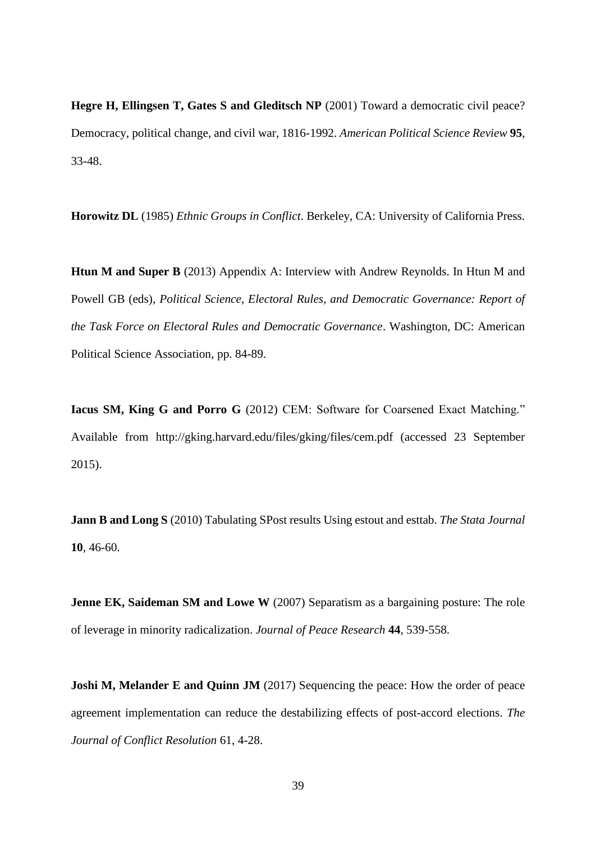**Hegre H, Ellingsen T, Gates S and Gleditsch NP** (2001) Toward a democratic civil peace? Democracy, political change, and civil war, 1816-1992. *American Political Science Review* **95**, 33-48.

**Horowitz DL** (1985) *Ethnic Groups in Conflict*. Berkeley, CA: University of California Press.

**Htun M and Super B** (2013) Appendix A: Interview with Andrew Reynolds. In Htun M and Powell GB (eds), *Political Science, Electoral Rules, and Democratic Governance: Report of the Task Force on Electoral Rules and Democratic Governance*. Washington, DC: American Political Science Association, pp. 84-89.

**Iacus SM, King G and Porro G** (2012) CEM: Software for Coarsened Exact Matching." Available from http://gking.harvard.edu/files/gking/files/cem.pdf (accessed 23 September 2015).

**Jann B and Long S** (2010) Tabulating SPost results Using estout and esttab. *The Stata Journal*  **10**, 46-60.

**Jenne EK, Saideman SM and Lowe W** (2007) Separatism as a bargaining posture: The role of leverage in minority radicalization. *Journal of Peace Research* **44**, 539-558.

**Joshi M, Melander E and Quinn JM** (2017) Sequencing the peace: How the order of peace agreement implementation can reduce the destabilizing effects of post-accord elections. *The Journal of Conflict Resolution* 61, 4-28.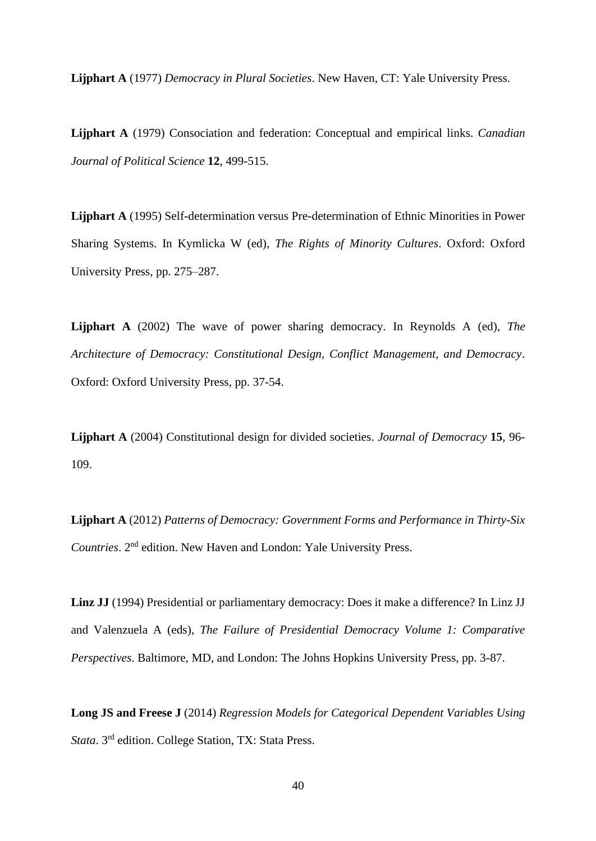**Lijphart A** (1977) *Democracy in Plural Societies*. New Haven, CT: Yale University Press.

**Lijphart A** (1979) Consociation and federation: Conceptual and empirical links. *Canadian Journal of Political Science* **12**, 499-515.

**Lijphart A** (1995) Self-determination versus Pre-determination of Ethnic Minorities in Power Sharing Systems. In Kymlicka W (ed), *The Rights of Minority Cultures*. Oxford: Oxford University Press, pp. 275–287.

**Lijphart A** (2002) The wave of power sharing democracy. In Reynolds A (ed), *The Architecture of Democracy: Constitutional Design, Conflict Management, and Democracy*. Oxford: Oxford University Press, pp. 37-54.

**Lijphart A** (2004) Constitutional design for divided societies. *Journal of Democracy* **15**, 96- 109.

**Lijphart A** (2012) *Patterns of Democracy: Government Forms and Performance in Thirty-Six Countries*. 2nd edition. New Haven and London: Yale University Press.

**Linz JJ** (1994) Presidential or parliamentary democracy: Does it make a difference? In Linz JJ and Valenzuela A (eds), *The Failure of Presidential Democracy Volume 1: Comparative Perspectives*. Baltimore, MD, and London: The Johns Hopkins University Press, pp. 3-87.

**Long JS and Freese J** (2014) *Regression Models for Categorical Dependent Variables Using Stata*. 3rd edition. College Station, TX: Stata Press.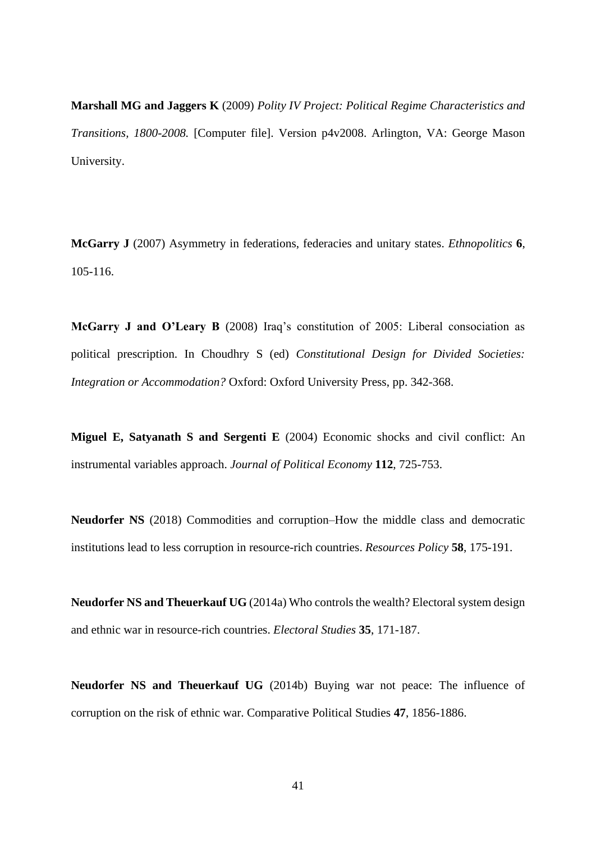**Marshall MG and Jaggers K** (2009) *Polity IV Project: Political Regime Characteristics and Transitions, 1800-2008.* [Computer file]. Version p4v2008. Arlington, VA: George Mason University.

**McGarry J** (2007) Asymmetry in federations, federacies and unitary states. *Ethnopolitics* **6**, 105-116.

**McGarry J and O'Leary B** (2008) Iraq's constitution of 2005: Liberal consociation as political prescription. In Choudhry S (ed) *Constitutional Design for Divided Societies: Integration or Accommodation?* Oxford: Oxford University Press, pp. 342-368.

**Miguel E, Satyanath S and Sergenti E** (2004) Economic shocks and civil conflict: An instrumental variables approach. *Journal of Political Economy* **112**, 725-753.

**Neudorfer NS** (2018) Commodities and corruption–How the middle class and democratic institutions lead to less corruption in resource-rich countries. *Resources Policy* **58**, 175-191.

**Neudorfer NS and Theuerkauf UG** (2014a) Who controls the wealth? Electoral system design and ethnic war in resource-rich countries. *Electoral Studies* **35**, 171-187.

**Neudorfer NS and Theuerkauf UG** (2014b) Buying war not peace: The influence of corruption on the risk of ethnic war. Comparative Political Studies **47**, 1856-1886.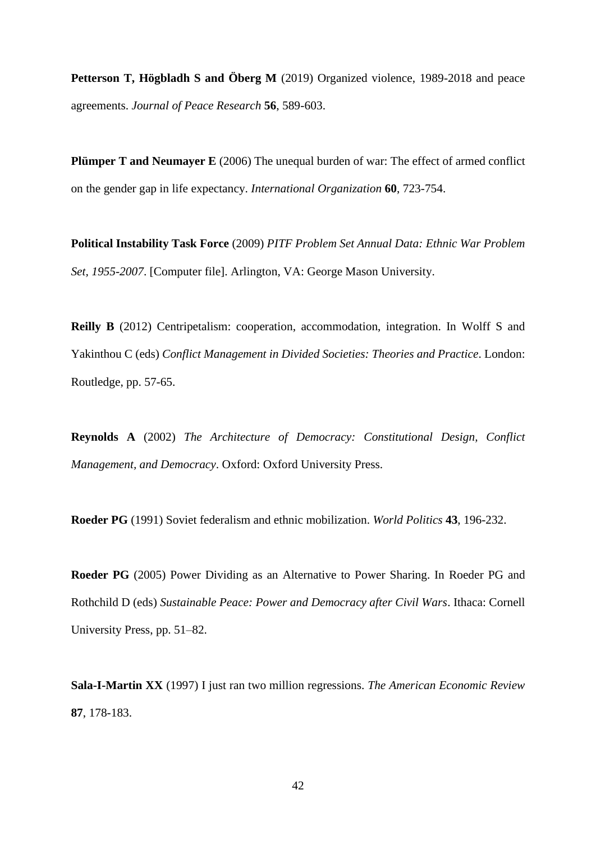**Petterson T, Högbladh S and Öberg M** (2019) Organized violence, 1989-2018 and peace agreements. *Journal of Peace Research* **56**, 589-603.

**Plümper T and Neumayer E** (2006) The unequal burden of war: The effect of armed conflict on the gender gap in life expectancy. *International Organization* **60**, 723-754.

**Political Instability Task Force** (2009) *PITF Problem Set Annual Data: Ethnic War Problem Set, 1955-2007*. [Computer file]. Arlington, VA: George Mason University.

**Reilly B** (2012) Centripetalism: cooperation, accommodation, integration. In Wolff S and Yakinthou C (eds) *Conflict Management in Divided Societies: Theories and Practice*. London: Routledge, pp. 57-65.

**Reynolds A** (2002) *The Architecture of Democracy: Constitutional Design, Conflict Management, and Democracy*. Oxford: Oxford University Press.

**Roeder PG** (1991) Soviet federalism and ethnic mobilization. *World Politics* **43**, 196-232.

**Roeder PG** (2005) Power Dividing as an Alternative to Power Sharing. In Roeder PG and Rothchild D (eds) *Sustainable Peace: Power and Democracy after Civil Wars*. Ithaca: Cornell University Press, pp. 51–82.

**Sala-I-Martin XX** (1997) I just ran two million regressions. *The American Economic Review* **87**, 178-183.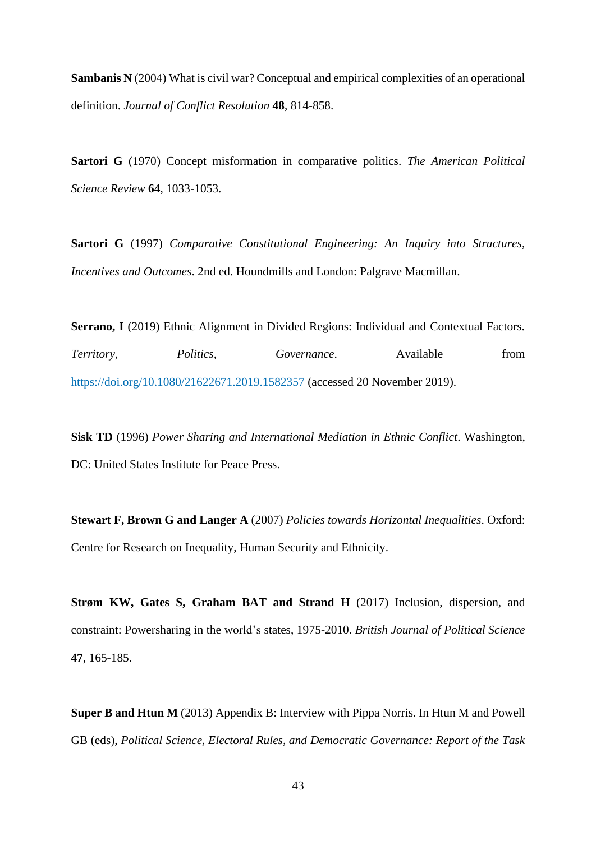**Sambanis N** (2004) What is civil war? Conceptual and empirical complexities of an operational definition. *Journal of Conflict Resolution* **48**, 814-858.

**Sartori G** (1970) Concept misformation in comparative politics. *The American Political Science Review* **64**, 1033-1053.

**Sartori G** (1997) *Comparative Constitutional Engineering: An Inquiry into Structures, Incentives and Outcomes*. 2nd ed. Houndmills and London: Palgrave Macmillan.

**Serrano, I** (2019) Ethnic Alignment in Divided Regions: Individual and Contextual Factors. *Territory, Politics, Governance*. Available from <https://doi.org/10.1080/21622671.2019.1582357> (accessed 20 November 2019).

**Sisk TD** (1996) *Power Sharing and International Mediation in Ethnic Conflict*. Washington, DC: United States Institute for Peace Press.

**Stewart F, Brown G and Langer A** (2007) *Policies towards Horizontal Inequalities*. Oxford: Centre for Research on Inequality, Human Security and Ethnicity.

**Strøm KW, Gates S, Graham BAT and Strand H** (2017) Inclusion, dispersion, and constraint: Powersharing in the world's states, 1975-2010. *British Journal of Political Science* **47**, 165-185.

**Super B and Htun M** (2013) Appendix B: Interview with Pippa Norris. In Htun M and Powell GB (eds), *Political Science, Electoral Rules, and Democratic Governance: Report of the Task*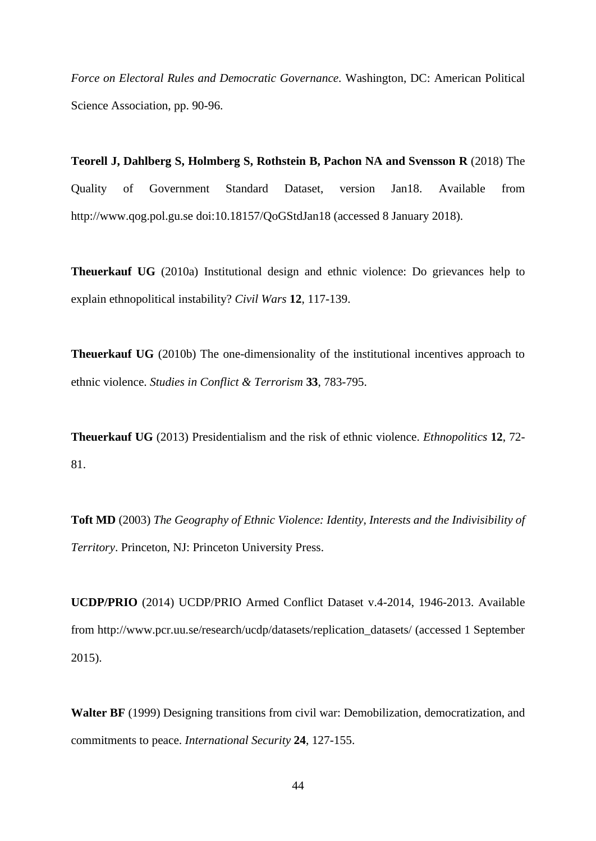*Force on Electoral Rules and Democratic Governance.* Washington, DC: American Political Science Association, pp. 90-96.

**Teorell J, Dahlberg S, Holmberg S, Rothstein B, Pachon NA and Svensson R** (2018) The Quality of Government Standard Dataset, version Jan18. Available from http://www.qog.pol.gu.se doi:10.18157/QoGStdJan18 (accessed 8 January 2018).

**Theuerkauf UG** (2010a) Institutional design and ethnic violence: Do grievances help to explain ethnopolitical instability? *Civil Wars* **12**, 117-139.

**Theuerkauf UG** (2010b) The one-dimensionality of the institutional incentives approach to ethnic violence. *Studies in Conflict & Terrorism* **33**, 783-795.

**Theuerkauf UG** (2013) Presidentialism and the risk of ethnic violence. *Ethnopolitics* **12**, 72- 81.

**Toft MD** (2003) *The Geography of Ethnic Violence: Identity, Interests and the Indivisibility of Territory*. Princeton, NJ: Princeton University Press.

**UCDP/PRIO** (2014) UCDP/PRIO Armed Conflict Dataset v.4-2014, 1946-2013. Available from http://www.pcr.uu.se/research/ucdp/datasets/replication\_datasets/ (accessed 1 September 2015).

**Walter BF** (1999) Designing transitions from civil war: Demobilization, democratization, and commitments to peace. *International Security* **24**, 127-155.